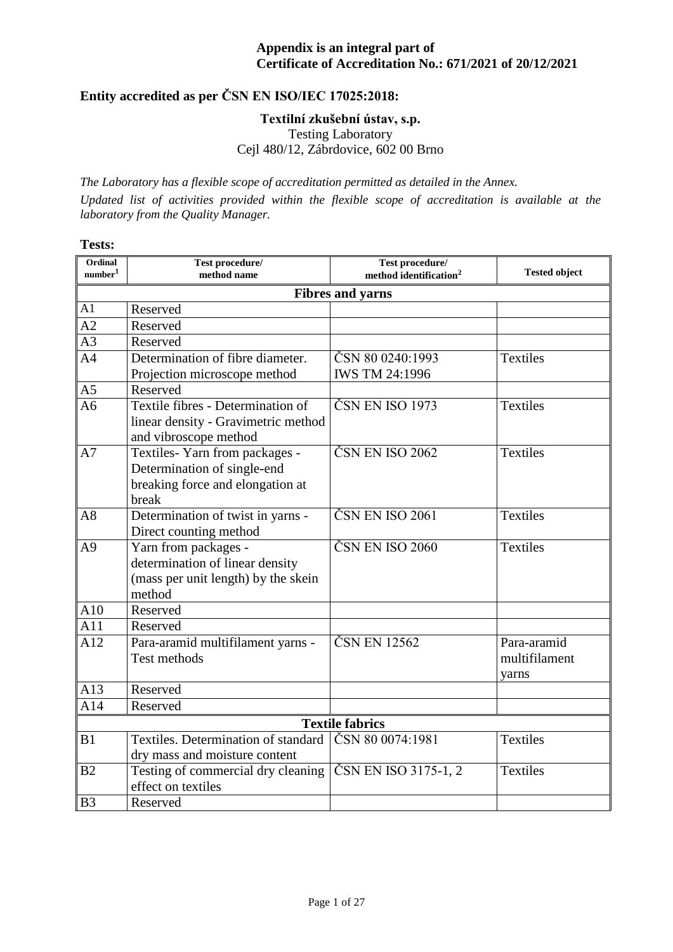# **Entity accredited as per ČSN EN ISO/IEC 17025:2018:**

#### **Textilní zkušební ústav, s.p.**

Testing Laboratory

Cejl 480/12, Zábrdovice, 602 00 Brno

*The Laboratory has a flexible scope of accreditation permitted as detailed in the Annex. Updated list of activities provided within the flexible scope of accreditation is available at the laboratory from the Quality Manager.*

#### **Tests:**

| Ordinal<br>$\text{number}^1$ | Test procedure/<br>method name                                                                            | Test procedure/<br>method identification <sup>2</sup> | <b>Tested object</b>                  |
|------------------------------|-----------------------------------------------------------------------------------------------------------|-------------------------------------------------------|---------------------------------------|
|                              |                                                                                                           | <b>Fibres and yarns</b>                               |                                       |
| A1                           | Reserved                                                                                                  |                                                       |                                       |
| A2                           | Reserved                                                                                                  |                                                       |                                       |
| A <sub>3</sub>               | Reserved                                                                                                  |                                                       |                                       |
| A <sub>4</sub>               | Determination of fibre diameter.                                                                          | ČSN 80 0240:1993                                      | <b>Textiles</b>                       |
|                              | Projection microscope method                                                                              | <b>IWS TM 24:1996</b>                                 |                                       |
| A <sub>5</sub>               | Reserved                                                                                                  |                                                       |                                       |
| A6                           | Textile fibres - Determination of<br>linear density - Gravimetric method<br>and vibroscope method         | ČSN EN ISO 1973                                       | <b>Textiles</b>                       |
| A7                           | Textiles-Yarn from packages -<br>Determination of single-end<br>breaking force and elongation at<br>break | ČSN EN ISO 2062                                       | <b>Textiles</b>                       |
| A8                           | Determination of twist in yarns -<br>Direct counting method                                               | ČSN EN ISO 2061                                       | <b>Textiles</b>                       |
| A <sup>9</sup>               | Yarn from packages -<br>determination of linear density<br>(mass per unit length) by the skein<br>method  | ČSN EN ISO 2060                                       | <b>Textiles</b>                       |
| A10                          | Reserved                                                                                                  |                                                       |                                       |
| A11                          | Reserved                                                                                                  |                                                       |                                       |
| A12                          | Para-aramid multifilament yarns -<br><b>Test methods</b>                                                  | ČSN EN 12562                                          | Para-aramid<br>multifilament<br>yarns |
| A13                          | Reserved                                                                                                  |                                                       |                                       |
| A14                          | Reserved                                                                                                  |                                                       |                                       |
|                              |                                                                                                           | <b>Textile fabrics</b>                                |                                       |
| B <sub>1</sub>               | Textiles. Determination of standard<br>dry mass and moisture content                                      | ČSN 80 0074:1981                                      | <b>Textiles</b>                       |
| B <sub>2</sub>               | Testing of commercial dry cleaning<br>effect on textiles                                                  | ČSN EN ISO 3175-1, 2                                  | <b>Textiles</b>                       |
| B <sub>3</sub>               | Reserved                                                                                                  |                                                       |                                       |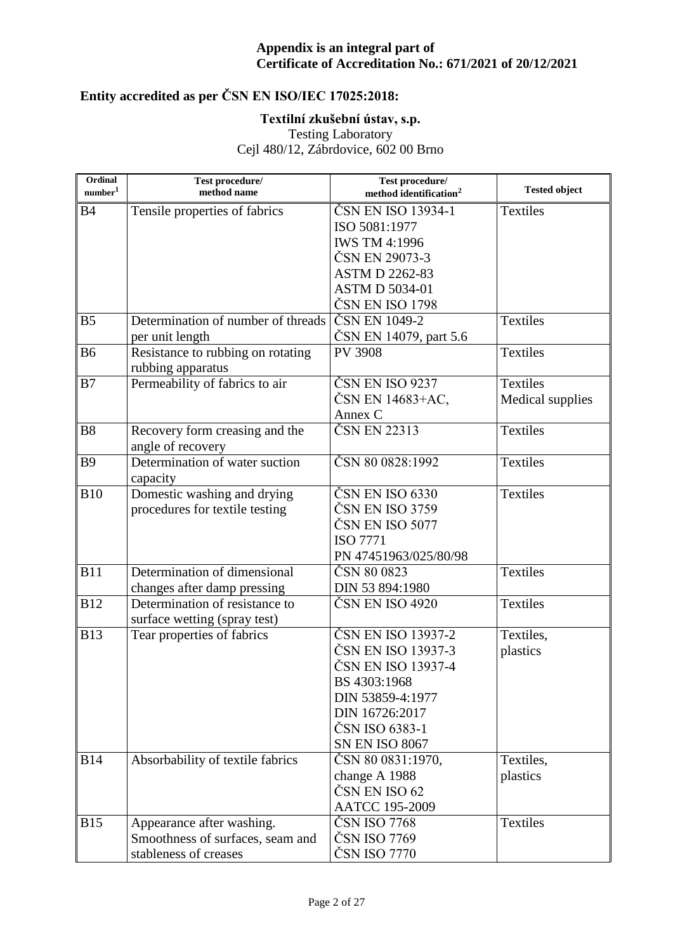# **Entity accredited as per ČSN EN ISO/IEC 17025:2018:**

### **Textilní zkušební ústav, s.p.**

Testing Laboratory

| Ordinal<br>number <sup>1</sup> | Test procedure/<br>method name             | Test procedure/<br>method identification <sup>2</sup> | <b>Tested object</b> |
|--------------------------------|--------------------------------------------|-------------------------------------------------------|----------------------|
| <b>B4</b>                      |                                            | ČSN EN ISO 13934-1                                    | <b>Textiles</b>      |
|                                | Tensile properties of fabrics              | ISO 5081:1977                                         |                      |
|                                |                                            | <b>IWS TM 4:1996</b>                                  |                      |
|                                |                                            | ČSN EN 29073-3                                        |                      |
|                                |                                            | <b>ASTM D 2262-83</b>                                 |                      |
|                                |                                            | <b>ASTM D 5034-01</b>                                 |                      |
|                                |                                            | ČSN EN ISO 1798                                       |                      |
| B <sub>5</sub>                 | Determination of number of threads         | ČSN EN 1049-2                                         | <b>Textiles</b>      |
|                                | per unit length                            | ČSN EN 14079, part 5.6                                |                      |
| <b>B6</b>                      | Resistance to rubbing on rotating          | <b>PV 3908</b>                                        | <b>Textiles</b>      |
|                                | rubbing apparatus                          |                                                       |                      |
| B7                             | Permeability of fabrics to air             | ČSN EN ISO 9237                                       | <b>Textiles</b>      |
|                                |                                            | ČSN EN 14683+AC,                                      | Medical supplies     |
|                                |                                            | Annex C                                               |                      |
| <b>B8</b>                      | Recovery form creasing and the             | ČSN EN 22313                                          | <b>Textiles</b>      |
|                                | angle of recovery                          |                                                       |                      |
| <b>B9</b>                      | Determination of water suction<br>capacity | ČSN 80 0828:1992                                      | <b>Textiles</b>      |
| <b>B10</b>                     | Domestic washing and drying                | ČSN EN ISO 6330                                       | <b>Textiles</b>      |
|                                | procedures for textile testing             | ČSN EN ISO 3759                                       |                      |
|                                |                                            | ČSN EN ISO 5077                                       |                      |
|                                |                                            | <b>ISO 7771</b>                                       |                      |
|                                |                                            | PN 47451963/025/80/98                                 |                      |
| <b>B11</b>                     | Determination of dimensional               | ČSN 80 0823                                           | <b>Textiles</b>      |
|                                | changes after damp pressing                | DIN 53 894:1980                                       |                      |
| <b>B12</b>                     | Determination of resistance to             | ČSN EN ISO 4920                                       | <b>Textiles</b>      |
|                                | surface wetting (spray test)               |                                                       |                      |
| <b>B13</b>                     | Tear properties of fabrics                 | ČSN EN ISO 13937-2                                    | Textiles,            |
|                                |                                            | ČSN EN ISO 13937-3                                    | plastics             |
|                                |                                            | ČSN EN ISO 13937-4                                    |                      |
|                                |                                            | BS 4303:1968                                          |                      |
|                                |                                            | DIN 53859-4:1977                                      |                      |
|                                |                                            | DIN 16726:2017                                        |                      |
|                                |                                            | ČSN ISO 6383-1                                        |                      |
|                                |                                            | <b>SN EN ISO 8067</b>                                 |                      |
| <b>B14</b>                     | Absorbability of textile fabrics           | ČSN 80 0831:1970,                                     | Textiles,            |
|                                |                                            | change A 1988                                         | plastics             |
|                                |                                            | ČSN EN ISO 62                                         |                      |
|                                |                                            | <b>AATCC 195-2009</b>                                 |                      |
| <b>B15</b>                     | Appearance after washing.                  | ČSN ISO 7768                                          | <b>Textiles</b>      |
|                                | Smoothness of surfaces, seam and           | ČSN ISO 7769                                          |                      |
|                                | stableness of creases                      | ČSN ISO 7770                                          |                      |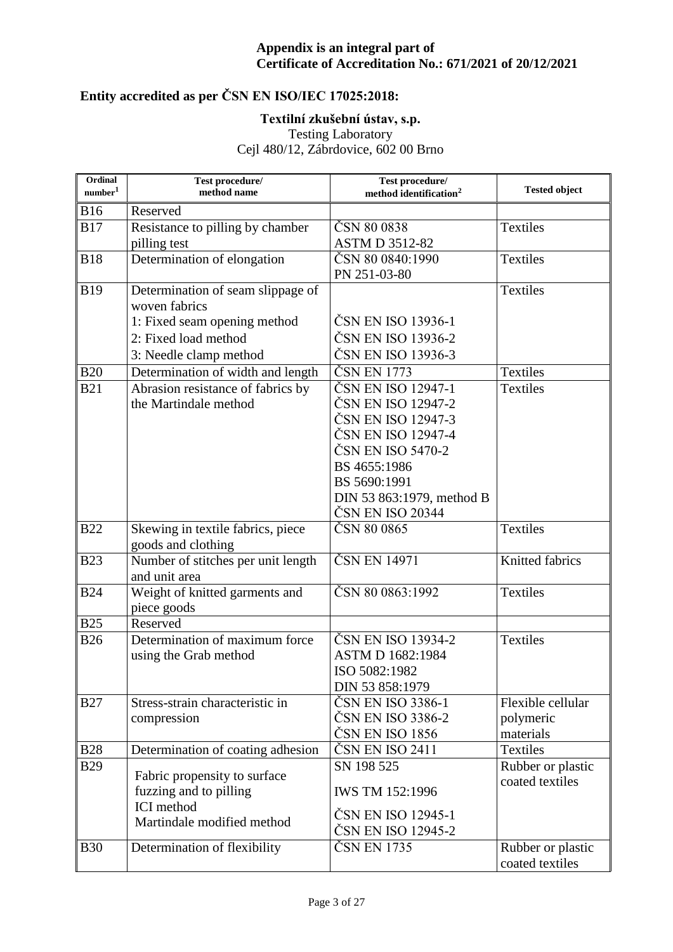# **Entity accredited as per ČSN EN ISO/IEC 17025:2018:**

### **Textilní zkušební ústav, s.p.**

Testing Laboratory

| Ordinal<br>$\mbox{number}^1$ | Test procedure/<br>method name                      | Test procedure/<br>method identification <sup>2</sup> | <b>Tested object</b> |
|------------------------------|-----------------------------------------------------|-------------------------------------------------------|----------------------|
| <b>B16</b>                   | Reserved                                            |                                                       |                      |
| <b>B17</b>                   | Resistance to pilling by chamber                    | ČSN 80 0838                                           | <b>Textiles</b>      |
|                              | pilling test                                        | <b>ASTM D 3512-82</b>                                 |                      |
| <b>B18</b>                   | Determination of elongation                         | ČSN 80 0840:1990                                      | <b>Textiles</b>      |
|                              |                                                     | PN 251-03-80                                          |                      |
| <b>B19</b>                   | Determination of seam slippage of                   |                                                       | <b>Textiles</b>      |
|                              | woven fabrics                                       |                                                       |                      |
|                              | 1: Fixed seam opening method                        | ČSN EN ISO 13936-1                                    |                      |
|                              | 2: Fixed load method                                | ČSN EN ISO 13936-2                                    |                      |
|                              | 3: Needle clamp method                              | ČSN EN ISO 13936-3                                    |                      |
| <b>B20</b>                   | Determination of width and length                   | ČSN EN 1773                                           | <b>Textiles</b>      |
| <b>B21</b>                   | Abrasion resistance of fabrics by                   | ČSN EN ISO 12947-1                                    | <b>Textiles</b>      |
|                              | the Martindale method                               | ČSN EN ISO 12947-2                                    |                      |
|                              |                                                     | ČSN EN ISO 12947-3                                    |                      |
|                              |                                                     | ČSN EN ISO 12947-4                                    |                      |
|                              |                                                     | ČSN EN ISO 5470-2                                     |                      |
|                              |                                                     | BS 4655:1986                                          |                      |
|                              |                                                     | BS 5690:1991                                          |                      |
|                              |                                                     | DIN 53 863:1979, method B                             |                      |
|                              |                                                     | ČSN EN ISO 20344                                      |                      |
| <b>B22</b>                   | Skewing in textile fabrics, piece                   | ČSN 80 0865                                           | <b>Textiles</b>      |
|                              | goods and clothing                                  |                                                       |                      |
| <b>B23</b>                   | Number of stitches per unit length<br>and unit area | ČSN EN 14971                                          | Knitted fabrics      |
| <b>B24</b>                   | Weight of knitted garments and<br>piece goods       | ČSN 80 0863:1992                                      | <b>Textiles</b>      |
| <b>B25</b>                   | Reserved                                            |                                                       |                      |
| <b>B26</b>                   | Determination of maximum force                      | ČSN EN ISO 13934-2                                    | <b>Textiles</b>      |
|                              | using the Grab method                               | ASTM D 1682:1984                                      |                      |
|                              |                                                     | ISO 5082:1982                                         |                      |
|                              |                                                     | DIN 53 858:1979                                       |                      |
| <b>B27</b>                   | Stress-strain characteristic in                     | ČSN EN ISO 3386-1                                     | Flexible cellular    |
|                              | compression                                         | ČSN EN ISO 3386-2                                     | polymeric            |
|                              |                                                     | ČSN EN ISO 1856                                       | materials            |
| <b>B28</b>                   | Determination of coating adhesion                   | ČSN EN ISO 2411                                       | <b>Textiles</b>      |
| <b>B29</b>                   |                                                     | SN 198 525                                            | Rubber or plastic    |
|                              | Fabric propensity to surface                        |                                                       | coated textiles      |
|                              | fuzzing and to pilling                              | <b>IWS TM 152:1996</b>                                |                      |
|                              | <b>ICI</b> method                                   | ČSN EN ISO 12945-1                                    |                      |
|                              | Martindale modified method                          | ČSN EN ISO 12945-2                                    |                      |
| <b>B30</b>                   | Determination of flexibility                        | ČSN EN 1735                                           | Rubber or plastic    |
|                              |                                                     |                                                       | coated textiles      |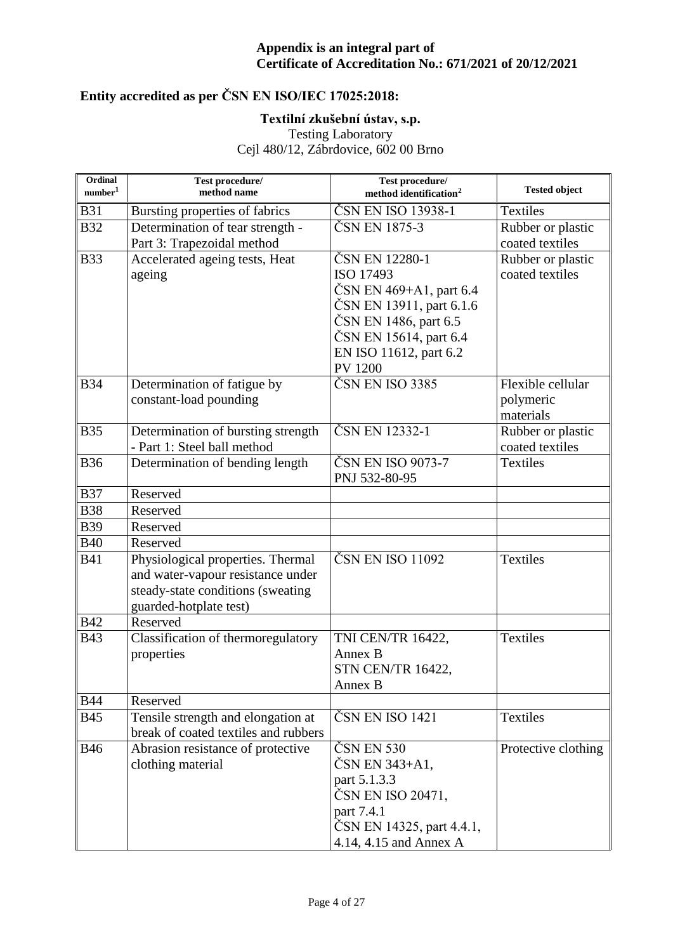# **Entity accredited as per ČSN EN ISO/IEC 17025:2018:**

### **Textilní zkušební ústav, s.p.**

Testing Laboratory

| Ordinal<br>number <sup>1</sup> | Test procedure/<br>method name                                             | Test procedure/<br>method identification <sup>2</sup> | <b>Tested object</b>               |
|--------------------------------|----------------------------------------------------------------------------|-------------------------------------------------------|------------------------------------|
| <b>B31</b>                     | Bursting properties of fabrics                                             | ČSN EN ISO 13938-1                                    | <b>Textiles</b>                    |
| <b>B32</b>                     | Determination of tear strength -                                           | ČSN EN 1875-3                                         | Rubber or plastic                  |
|                                | Part 3: Trapezoidal method                                                 |                                                       | coated textiles                    |
| <b>B33</b>                     | Accelerated ageing tests, Heat                                             | ČSN EN 12280-1                                        | Rubber or plastic                  |
|                                | ageing                                                                     | ISO 17493                                             | coated textiles                    |
|                                |                                                                            | ČSN EN 469+A1, part 6.4                               |                                    |
|                                |                                                                            | ČSN EN 13911, part 6.1.6                              |                                    |
|                                |                                                                            | ČSN EN 1486, part 6.5                                 |                                    |
|                                |                                                                            | ČSN EN 15614, part 6.4                                |                                    |
|                                |                                                                            | EN ISO 11612, part 6.2                                |                                    |
|                                |                                                                            | <b>PV 1200</b>                                        |                                    |
| <b>B34</b>                     | Determination of fatigue by                                                | ČSN EN ISO 3385                                       | Flexible cellular                  |
|                                | constant-load pounding                                                     |                                                       | polymeric                          |
|                                |                                                                            |                                                       | materials                          |
| <b>B35</b>                     | Determination of bursting strength                                         | ČSN EN 12332-1                                        | Rubber or plastic                  |
| <b>B36</b>                     | - Part 1: Steel ball method<br>Determination of bending length             | ČSN EN ISO 9073-7                                     | coated textiles<br><b>Textiles</b> |
|                                |                                                                            | PNJ 532-80-95                                         |                                    |
| <b>B37</b>                     | Reserved                                                                   |                                                       |                                    |
| <b>B38</b>                     | Reserved                                                                   |                                                       |                                    |
| <b>B39</b>                     | Reserved                                                                   |                                                       |                                    |
| <b>B40</b>                     | Reserved                                                                   |                                                       |                                    |
| <b>B41</b>                     | Physiological properties. Thermal                                          | ČSN EN ISO 11092                                      | <b>Textiles</b>                    |
|                                | and water-vapour resistance under                                          |                                                       |                                    |
|                                | steady-state conditions (sweating                                          |                                                       |                                    |
|                                | guarded-hotplate test)                                                     |                                                       |                                    |
| <b>B42</b>                     | Reserved                                                                   |                                                       |                                    |
| <b>B43</b>                     | Classification of thermoregulatory                                         | <b>TNI CEN/TR 16422,</b>                              | <b>Textiles</b>                    |
|                                | properties                                                                 | Annex B                                               |                                    |
|                                |                                                                            | STN CEN/TR 16422,                                     |                                    |
|                                |                                                                            | Annex B                                               |                                    |
| <b>B44</b>                     | Reserved                                                                   |                                                       |                                    |
| <b>B45</b>                     | Tensile strength and elongation at<br>break of coated textiles and rubbers | ČSN EN ISO 1421                                       | <b>Textiles</b>                    |
| <b>B46</b>                     | Abrasion resistance of protective                                          | ČSN EN 530                                            | Protective clothing                |
|                                | clothing material                                                          | ČSN EN 343+A1,                                        |                                    |
|                                |                                                                            | part 5.1.3.3<br>ČSN EN ISO 20471,                     |                                    |
|                                |                                                                            | part 7.4.1                                            |                                    |
|                                |                                                                            | ČSN EN 14325, part 4.4.1,                             |                                    |
|                                |                                                                            | 4.14, 4.15 and Annex A                                |                                    |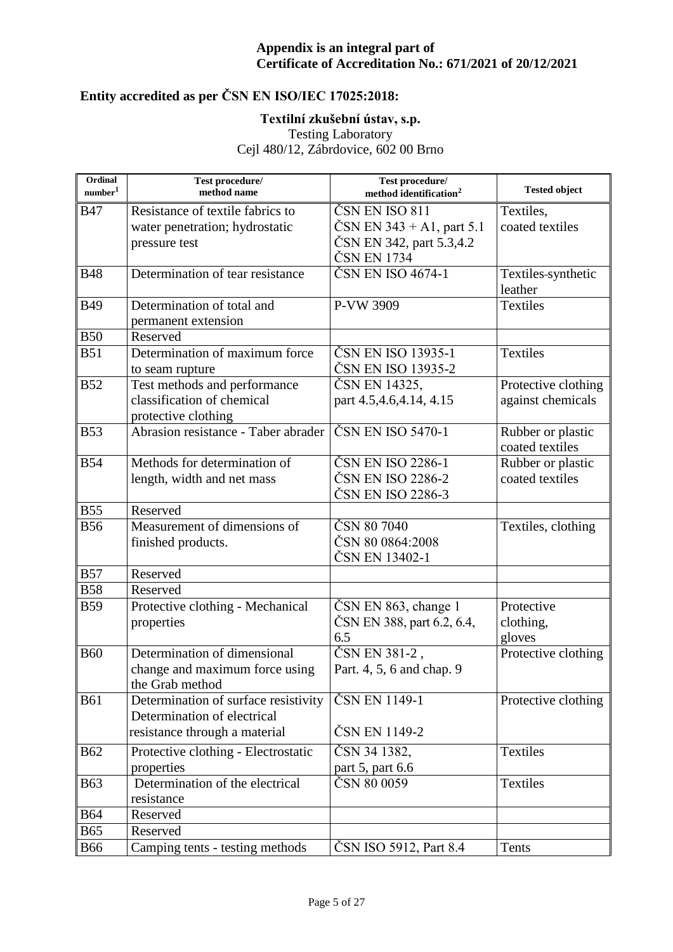# **Entity accredited as per ČSN EN ISO/IEC 17025:2018:**

### **Textilní zkušební ústav, s.p.**

Testing Laboratory

| Ordinal<br>number <sup>1</sup> | Test procedure/<br>method name       | Test procedure/<br>method identification <sup>2</sup> | <b>Tested object</b> |
|--------------------------------|--------------------------------------|-------------------------------------------------------|----------------------|
| <b>B47</b>                     | Resistance of textile fabrics to     | ČSN EN ISO 811                                        | Textiles,            |
|                                | water penetration; hydrostatic       | $\text{CSN}$ EN 343 + A1, part 5.1                    | coated textiles      |
|                                | pressure test                        | ČSN EN 342, part 5.3,4.2                              |                      |
|                                |                                      | ČSN EN 1734                                           |                      |
| <b>B48</b>                     | Determination of tear resistance     | ČSN EN ISO 4674-1                                     | Textiles-synthetic   |
|                                |                                      |                                                       | leather              |
| <b>B49</b>                     | Determination of total and           | P-VW 3909                                             | <b>Textiles</b>      |
|                                | permanent extension                  |                                                       |                      |
| <b>B50</b>                     | Reserved                             |                                                       |                      |
| <b>B51</b>                     | Determination of maximum force       | ČSN EN ISO 13935-1                                    | Textiles             |
|                                | to seam rupture                      | ČSN EN ISO 13935-2                                    |                      |
| <b>B52</b>                     | Test methods and performance         | ČSN EN 14325,                                         | Protective clothing  |
|                                | classification of chemical           | part 4.5, 4.6, 4.14, 4.15                             | against chemicals    |
|                                | protective clothing                  |                                                       |                      |
| <b>B53</b>                     | Abrasion resistance - Taber abrader  | ČSN EN ISO 5470-1                                     | Rubber or plastic    |
|                                |                                      |                                                       | coated textiles      |
| <b>B54</b>                     | Methods for determination of         | ČSN EN ISO 2286-1<br>ČSN EN ISO 2286-2                | Rubber or plastic    |
|                                | length, width and net mass           | ČSN EN ISO 2286-3                                     | coated textiles      |
| <b>B55</b>                     | Reserved                             |                                                       |                      |
| <b>B56</b>                     | Measurement of dimensions of         | ČSN 80 7040                                           | Textiles, clothing   |
|                                | finished products.                   | ČSN 80 0864:2008                                      |                      |
|                                |                                      | ČSN EN 13402-1                                        |                      |
| <b>B57</b>                     | Reserved                             |                                                       |                      |
| <b>B58</b>                     | Reserved                             |                                                       |                      |
| <b>B59</b>                     | Protective clothing - Mechanical     | ČSN EN 863, change 1                                  | Protective           |
|                                | properties                           | ČSN EN 388, part 6.2, 6.4,                            | clothing,            |
|                                |                                      | 6.5                                                   | gloves               |
| <b>B60</b>                     | Determination of dimensional         | ČSN EN 381-2,                                         | Protective clothing  |
|                                | change and maximum force using       | Part. 4, 5, 6 and chap. 9                             |                      |
|                                | the Grab method                      |                                                       |                      |
| <b>B61</b>                     | Determination of surface resistivity | ČSN EN 1149-1                                         | Protective clothing  |
|                                | Determination of electrical          |                                                       |                      |
|                                | resistance through a material        | ČSN EN 1149-2                                         |                      |
| <b>B62</b>                     | Protective clothing - Electrostatic  | ČSN 34 1382,                                          | <b>Textiles</b>      |
|                                | properties                           | part 5, part 6.6                                      |                      |
| <b>B63</b>                     | Determination of the electrical      | ČSN 80 0059                                           | <b>Textiles</b>      |
|                                | resistance                           |                                                       |                      |
| <b>B64</b>                     | Reserved                             |                                                       |                      |
| <b>B65</b>                     | Reserved                             |                                                       |                      |
| <b>B66</b>                     | Camping tents - testing methods      | ČSN ISO 5912, Part 8.4                                | Tents                |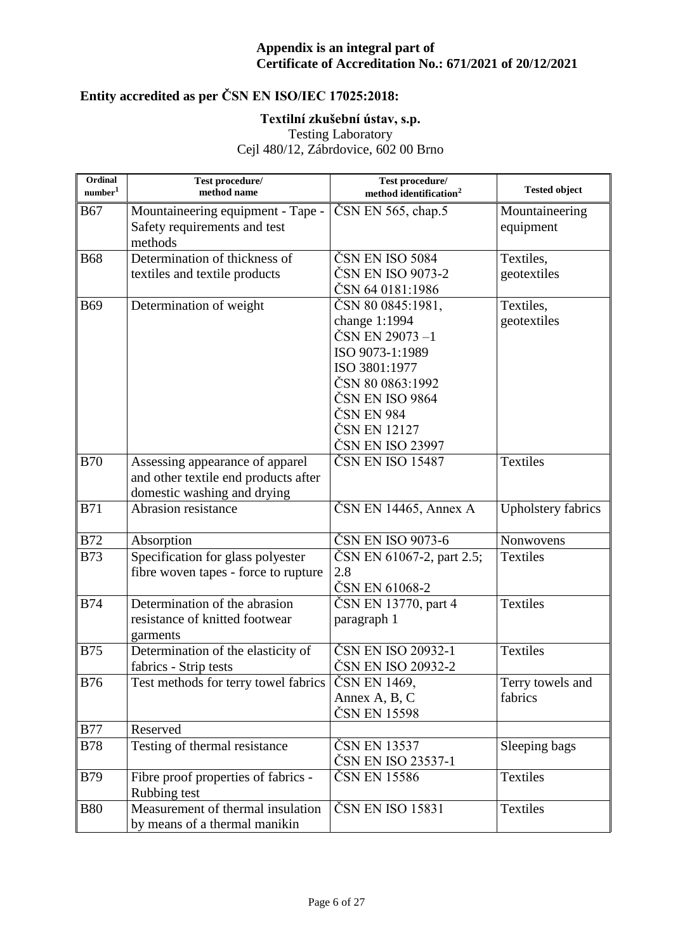# **Entity accredited as per ČSN EN ISO/IEC 17025:2018:**

### **Textilní zkušební ústav, s.p.**

Testing Laboratory

| Ordinal<br>number <sup>1</sup> | Test procedure/<br>method name       | Test procedure/<br>method identification <sup>2</sup> | <b>Tested object</b>      |
|--------------------------------|--------------------------------------|-------------------------------------------------------|---------------------------|
| <b>B67</b>                     | Mountaineering equipment - Tape -    | $\text{CSN}$ EN 565, chap.5                           | Mountaineering            |
|                                | Safety requirements and test         |                                                       | equipment                 |
|                                | methods                              |                                                       |                           |
| <b>B68</b>                     | Determination of thickness of        | ČSN EN ISO 5084                                       | Textiles,                 |
|                                | textiles and textile products        | ČSN EN ISO 9073-2                                     | geotextiles               |
|                                |                                      | ČSN 64 0181:1986                                      |                           |
| <b>B69</b>                     | Determination of weight              | ČSN 80 0845:1981,                                     | Textiles,                 |
|                                |                                      | change 1:1994                                         | geotextiles               |
|                                |                                      | ČSN EN 29073-1                                        |                           |
|                                |                                      | ISO 9073-1:1989                                       |                           |
|                                |                                      | ISO 3801:1977                                         |                           |
|                                |                                      | ČSN 80 0863:1992                                      |                           |
|                                |                                      | ČSN EN ISO 9864                                       |                           |
|                                |                                      | ČSN EN 984                                            |                           |
|                                |                                      | ČSN EN 12127                                          |                           |
|                                |                                      | ČSN EN ISO 23997                                      |                           |
| <b>B70</b>                     | Assessing appearance of apparel      | ČSN EN ISO 15487                                      | Textiles                  |
|                                | and other textile end products after |                                                       |                           |
|                                | domestic washing and drying          |                                                       |                           |
| <b>B71</b>                     | Abrasion resistance                  | $\text{ČSN}$ EN 14465, Annex A                        | <b>Upholstery fabrics</b> |
| <b>B72</b>                     | Absorption                           | ČSN EN ISO 9073-6                                     | Nonwovens                 |
| <b>B73</b>                     | Specification for glass polyester    | ČSN EN 61067-2, part 2.5;                             | <b>Textiles</b>           |
|                                | fibre woven tapes - force to rupture | 2.8                                                   |                           |
|                                |                                      | ČSN EN 61068-2                                        |                           |
| <b>B74</b>                     | Determination of the abrasion        | ČSN EN 13770, part 4                                  | Textiles                  |
|                                | resistance of knitted footwear       | paragraph 1                                           |                           |
|                                | garments                             |                                                       |                           |
| <b>B75</b>                     | Determination of the elasticity of   | ČSN EN ISO 20932-1                                    | Textiles                  |
|                                | fabrics - Strip tests                | ČSN EN ISO 20932-2                                    |                           |
| <b>B76</b>                     | Test methods for terry towel fabrics | ČSN EN 1469,                                          | Terry towels and          |
|                                |                                      | Annex A, B, C                                         | fabrics                   |
|                                |                                      | ČSN EN 15598                                          |                           |
| <b>B77</b>                     | Reserved                             |                                                       |                           |
| <b>B78</b>                     | Testing of thermal resistance        | ČSN EN 13537                                          | Sleeping bags             |
|                                |                                      | ČSN EN ISO 23537-1                                    |                           |
| <b>B79</b>                     | Fibre proof properties of fabrics -  | ČSN EN 15586                                          | <b>Textiles</b>           |
|                                | Rubbing test                         |                                                       |                           |
| <b>B80</b>                     | Measurement of thermal insulation    | ČSN EN ISO 15831                                      | Textiles                  |
|                                | by means of a thermal manikin        |                                                       |                           |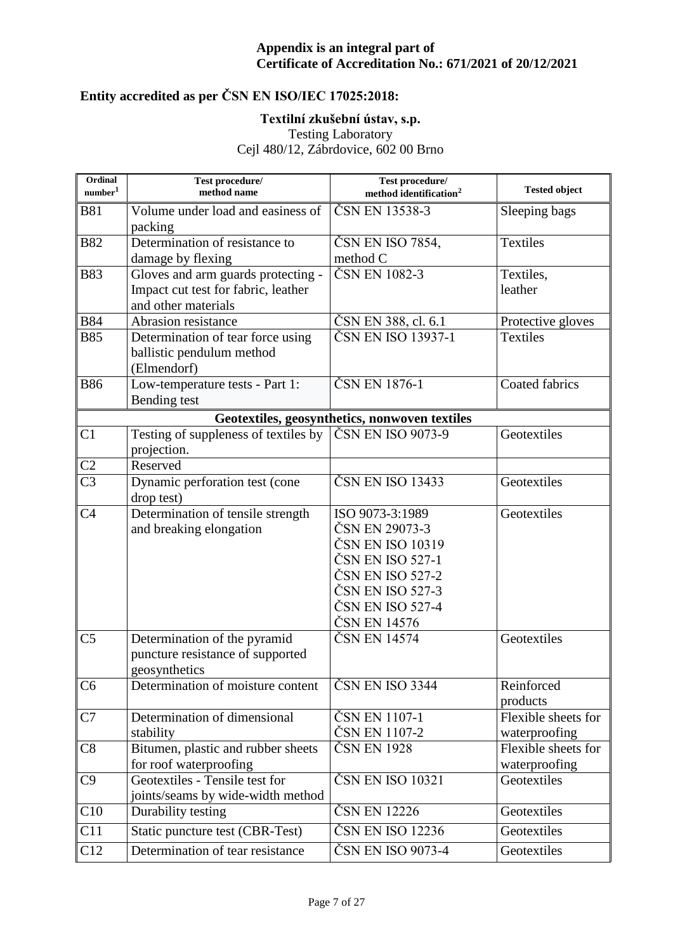# **Entity accredited as per ČSN EN ISO/IEC 17025:2018:**

### **Textilní zkušební ústav, s.p.**

Testing Laboratory

| Ordinal<br>number <sup>1</sup> | Test procedure/<br>method name                                                                   | Test procedure/<br>method identification <sup>2</sup>                                                                                                 | <b>Tested object</b>                 |
|--------------------------------|--------------------------------------------------------------------------------------------------|-------------------------------------------------------------------------------------------------------------------------------------------------------|--------------------------------------|
| <b>B81</b>                     | Volume under load and easiness of<br>packing                                                     | ČSN EN 13538-3                                                                                                                                        | Sleeping bags                        |
| <b>B82</b>                     | Determination of resistance to<br>damage by flexing                                              | ČSN EN ISO 7854,<br>method C                                                                                                                          | <b>Textiles</b>                      |
| <b>B83</b>                     | Gloves and arm guards protecting -<br>Impact cut test for fabric, leather<br>and other materials | ČSN EN 1082-3                                                                                                                                         | Textiles,<br>leather                 |
| <b>B84</b>                     | Abrasion resistance                                                                              | ČSN EN 388, cl. 6.1                                                                                                                                   | Protective gloves                    |
| <b>B85</b>                     | Determination of tear force using<br>ballistic pendulum method<br>(Elmendorf)                    | ČSN EN ISO 13937-1                                                                                                                                    | <b>Textiles</b>                      |
| <b>B86</b>                     | Low-temperature tests - Part 1:<br>Bending test                                                  | ČSN EN 1876-1                                                                                                                                         | <b>Coated fabrics</b>                |
|                                |                                                                                                  | Geotextiles, geosynthetics, nonwoven textiles                                                                                                         |                                      |
| C <sub>1</sub>                 | Testing of suppleness of textiles by<br>projection.                                              | ČSN EN ISO 9073-9                                                                                                                                     | Geotextiles                          |
| C <sub>2</sub>                 | Reserved                                                                                         |                                                                                                                                                       |                                      |
| C <sub>3</sub>                 | Dynamic perforation test (cone<br>drop test)                                                     | ČSN EN ISO 13433                                                                                                                                      | Geotextiles                          |
| C <sub>4</sub>                 | Determination of tensile strength<br>and breaking elongation                                     | ISO 9073-3:1989<br>ČSN EN 29073-3<br>ČSN EN ISO 10319<br>ČSN EN ISO 527-1<br>ČSN EN ISO 527-2<br>ČSN EN ISO 527-3<br>ČSN EN ISO 527-4<br>ČSN EN 14576 | Geotextiles                          |
| C <sub>5</sub>                 | Determination of the pyramid<br>puncture resistance of supported<br>geosynthetics                | ČSN EN 14574                                                                                                                                          | Geotextiles                          |
| C <sub>6</sub>                 | Determination of moisture content                                                                | ČSN EN ISO 3344                                                                                                                                       | Reinforced<br>products               |
| C7                             | Determination of dimensional<br>stability                                                        | ČSN EN 1107-1<br>ČSN EN 1107-2                                                                                                                        | Flexible sheets for<br>waterproofing |
| C8                             | Bitumen, plastic and rubber sheets<br>for roof waterproofing                                     | ČSN EN 1928                                                                                                                                           | Flexible sheets for<br>waterproofing |
| C9                             | Geotextiles - Tensile test for<br>joints/seams by wide-width method                              | ČSN EN ISO 10321                                                                                                                                      | Geotextiles                          |
| C10                            | Durability testing                                                                               | ČSN EN 12226                                                                                                                                          | Geotextiles                          |
| C11                            | Static puncture test (CBR-Test)                                                                  | ČSN EN ISO 12236                                                                                                                                      | Geotextiles                          |
| C12                            | Determination of tear resistance                                                                 | ČSN EN ISO 9073-4                                                                                                                                     | Geotextiles                          |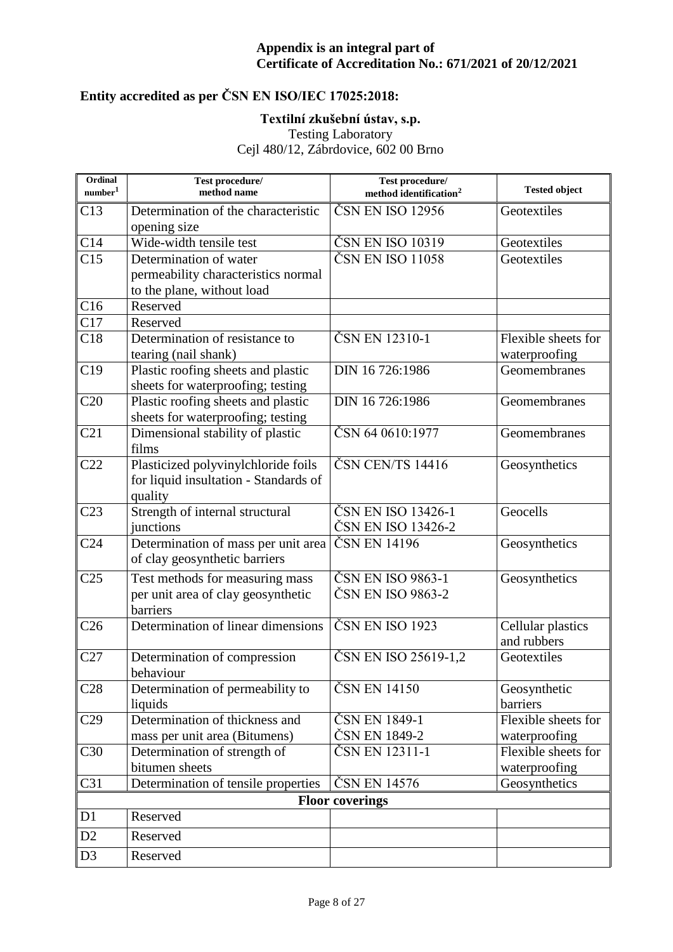# **Entity accredited as per ČSN EN ISO/IEC 17025:2018:**

### **Textilní zkušební ústav, s.p.**

Testing Laboratory

| Ordinal<br>number <sup>1</sup> | Test procedure/<br>method name                                                          | Test procedure/<br>method identification <sup>2</sup> | <b>Tested object</b>                 |
|--------------------------------|-----------------------------------------------------------------------------------------|-------------------------------------------------------|--------------------------------------|
| C13                            | Determination of the characteristic                                                     | ČSN EN ISO 12956                                      | Geotextiles                          |
|                                | opening size                                                                            |                                                       |                                      |
| C14                            | Wide-width tensile test                                                                 | ČSN EN ISO 10319                                      | Geotextiles                          |
| C15                            | Determination of water                                                                  | ČSN EN ISO 11058                                      | Geotextiles                          |
|                                | permeability characteristics normal                                                     |                                                       |                                      |
|                                | to the plane, without load                                                              |                                                       |                                      |
| C16                            | Reserved                                                                                |                                                       |                                      |
| C17                            | Reserved                                                                                |                                                       |                                      |
| C18                            | Determination of resistance to<br>tearing (nail shank)                                  | ČSN EN 12310-1                                        | Flexible sheets for<br>waterproofing |
| C19                            | Plastic roofing sheets and plastic                                                      | DIN 16 726:1986                                       | Geomembranes                         |
|                                | sheets for waterproofing; testing                                                       |                                                       |                                      |
| C20                            | Plastic roofing sheets and plastic                                                      | DIN 16 726:1986                                       | Geomembranes                         |
|                                | sheets for waterproofing; testing                                                       |                                                       |                                      |
| C21                            | Dimensional stability of plastic<br>films                                               | ČSN 64 0610:1977                                      | Geomembranes                         |
| C <sub>22</sub>                | Plasticized polyvinylchloride foils<br>for liquid insultation - Standards of<br>quality | ČSN CEN/TS 14416                                      | Geosynthetics                        |
| C <sub>23</sub>                | Strength of internal structural                                                         | ČSN EN ISO 13426-1                                    | Geocells                             |
|                                | junctions                                                                               | ČSN EN ISO 13426-2                                    |                                      |
| C <sub>24</sub>                | Determination of mass per unit area                                                     | ČSN EN 14196                                          | Geosynthetics                        |
|                                | of clay geosynthetic barriers                                                           |                                                       |                                      |
| C <sub>25</sub>                | Test methods for measuring mass                                                         | ČSN EN ISO 9863-1                                     | Geosynthetics                        |
|                                | per unit area of clay geosynthetic<br>barriers                                          | ČSN EN ISO 9863-2                                     |                                      |
| C <sub>26</sub>                | Determination of linear dimensions                                                      | ČSN EN ISO 1923                                       | Cellular plastics                    |
|                                |                                                                                         |                                                       | and rubbers                          |
| C27                            | Determination of compression<br>behaviour                                               | ČSN EN ISO 25619-1,2                                  | Geotextiles                          |
| C28                            | Determination of permeability to                                                        | ČSN EN 14150                                          | Geosynthetic                         |
|                                | liquids                                                                                 |                                                       | barriers                             |
| C29                            | Determination of thickness and                                                          | ČSN EN 1849-1                                         | Flexible sheets for                  |
|                                | mass per unit area (Bitumens)                                                           | ČSN EN 1849-2                                         | waterproofing                        |
| C30                            | Determination of strength of                                                            | ČSN EN 12311-1                                        | Flexible sheets for                  |
|                                | bitumen sheets                                                                          |                                                       | waterproofing                        |
| C31                            | Determination of tensile properties                                                     | ČSN EN 14576                                          | Geosynthetics                        |
|                                |                                                                                         | <b>Floor coverings</b>                                |                                      |
| D1                             | Reserved                                                                                |                                                       |                                      |
| D <sub>2</sub>                 | Reserved                                                                                |                                                       |                                      |
| D <sub>3</sub>                 | Reserved                                                                                |                                                       |                                      |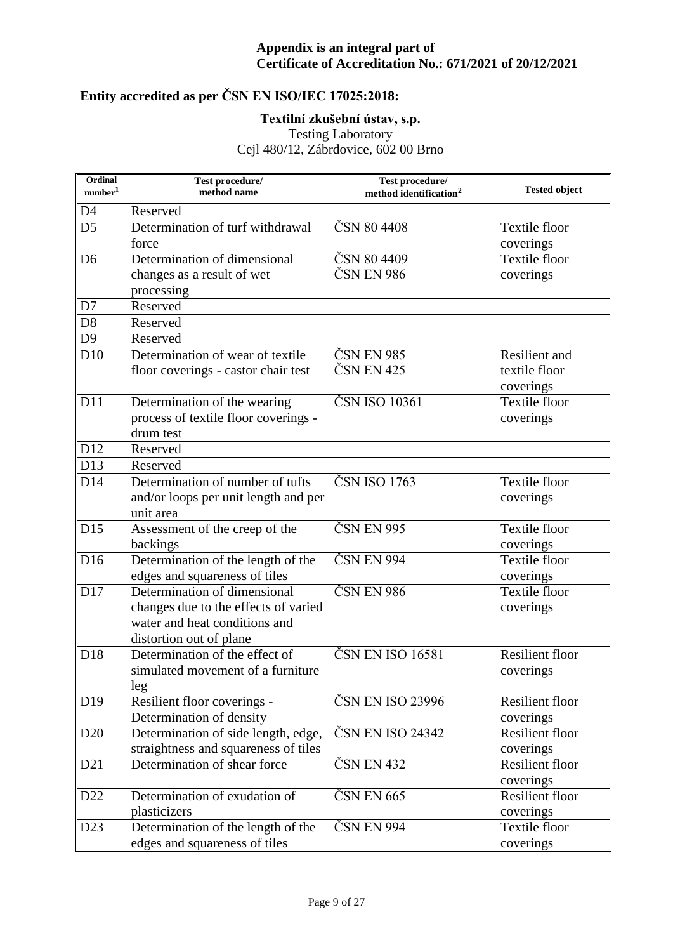# **Entity accredited as per ČSN EN ISO/IEC 17025:2018:**

#### **Textilní zkušební ústav, s.p.**

Testing Laboratory

| Ordinal<br>number <sup>1</sup> | Test procedure/<br>method name                                       | Test procedure/<br>method identification <sup>2</sup> | <b>Tested object</b>                |
|--------------------------------|----------------------------------------------------------------------|-------------------------------------------------------|-------------------------------------|
| D4                             | Reserved                                                             |                                                       |                                     |
| D <sub>5</sub>                 | Determination of turf withdrawal                                     | ČSN 80 4408                                           | Textile floor                       |
|                                | force                                                                |                                                       | coverings                           |
| D <sub>6</sub>                 | Determination of dimensional                                         | ČSN 80 4409                                           | Textile floor                       |
|                                | changes as a result of wet                                           | ČSN EN 986                                            | coverings                           |
|                                | processing                                                           |                                                       |                                     |
| D7                             | Reserved                                                             |                                                       |                                     |
| D <sub>8</sub>                 | Reserved                                                             |                                                       |                                     |
| D <sub>9</sub>                 | Reserved                                                             |                                                       |                                     |
| D10                            | Determination of wear of textile                                     | ČSN EN 985                                            | Resilient and                       |
|                                | floor coverings - castor chair test                                  | ČSN EN 425                                            | textile floor                       |
|                                |                                                                      |                                                       | coverings                           |
| D11                            | Determination of the wearing                                         | ČSN ISO 10361                                         | <b>Textile floor</b>                |
|                                | process of textile floor coverings -                                 |                                                       | coverings                           |
|                                | drum test                                                            |                                                       |                                     |
| D12                            | Reserved                                                             |                                                       |                                     |
| D13                            | Reserved                                                             |                                                       |                                     |
| D14                            | Determination of number of tufts                                     | ČSN ISO 1763                                          | <b>Textile floor</b>                |
|                                | and/or loops per unit length and per                                 |                                                       | coverings                           |
|                                | unit area                                                            |                                                       |                                     |
| D15                            | Assessment of the creep of the                                       | ČSN EN 995                                            | Textile floor                       |
|                                | backings                                                             |                                                       | coverings                           |
| D <sub>16</sub>                | Determination of the length of the                                   | ČSN EN 994                                            | <b>Textile floor</b>                |
|                                | edges and squareness of tiles                                        |                                                       | coverings                           |
| D17                            | Determination of dimensional                                         | ČSN EN 986                                            | <b>Textile floor</b>                |
|                                | changes due to the effects of varied                                 |                                                       | coverings                           |
|                                | water and heat conditions and                                        |                                                       |                                     |
|                                | distortion out of plane                                              |                                                       |                                     |
| D <sub>18</sub>                | Determination of the effect of                                       | ČSN EN ISO 16581                                      | <b>Resilient floor</b>              |
|                                | simulated movement of a furniture                                    |                                                       | coverings                           |
|                                | leg                                                                  |                                                       |                                     |
| D19                            | Resilient floor coverings -                                          | ČSN EN ISO 23996                                      | <b>Resilient floor</b>              |
|                                | Determination of density                                             |                                                       | coverings                           |
| D <sub>20</sub>                | Determination of side length, edge,                                  | ČSN EN ISO 24342                                      | <b>Resilient floor</b>              |
|                                | straightness and squareness of tiles<br>Determination of shear force | ČSN EN 432                                            | coverings<br><b>Resilient floor</b> |
| D21                            |                                                                      |                                                       |                                     |
|                                | Determination of exudation of                                        | ČSN EN 665                                            | coverings<br><b>Resilient floor</b> |
| D22                            |                                                                      |                                                       |                                     |
| D23                            | plasticizers                                                         | ČSN EN 994                                            | coverings<br>Textile floor          |
|                                | Determination of the length of the                                   |                                                       |                                     |
|                                | edges and squareness of tiles                                        |                                                       | coverings                           |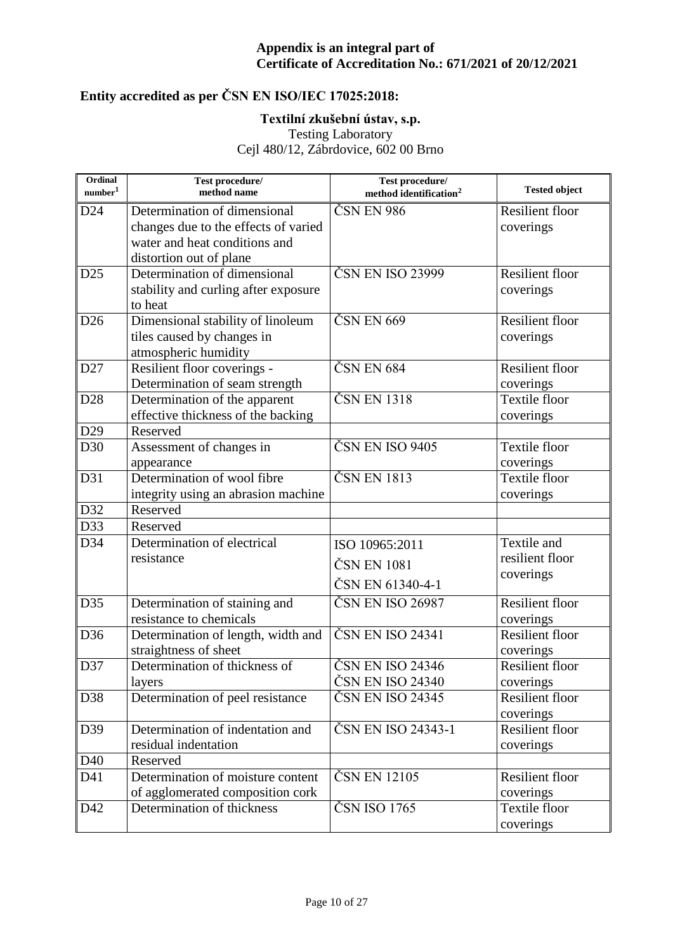# **Entity accredited as per ČSN EN ISO/IEC 17025:2018:**

### **Textilní zkušební ústav, s.p.**

Testing Laboratory

| Ordinal<br>number <sup>1</sup> | Test procedure/<br>method name       | Test procedure/<br>method identification <sup>2</sup> | <b>Tested object</b>   |
|--------------------------------|--------------------------------------|-------------------------------------------------------|------------------------|
| D24                            | Determination of dimensional         | ČSN EN 986                                            | <b>Resilient floor</b> |
|                                | changes due to the effects of varied |                                                       | coverings              |
|                                | water and heat conditions and        |                                                       |                        |
|                                | distortion out of plane              |                                                       |                        |
| D <sub>25</sub>                | Determination of dimensional         | ČSN EN ISO 23999                                      | <b>Resilient floor</b> |
|                                | stability and curling after exposure |                                                       | coverings              |
|                                | to heat                              |                                                       |                        |
| D <sub>26</sub>                | Dimensional stability of linoleum    | ČSN EN 669                                            | <b>Resilient floor</b> |
|                                | tiles caused by changes in           |                                                       | coverings              |
|                                | atmospheric humidity                 |                                                       |                        |
| D27                            | Resilient floor coverings -          | $\overline{\text{CSN}}$ EN 684                        | <b>Resilient floor</b> |
|                                | Determination of seam strength       |                                                       | coverings              |
| D <sub>28</sub>                | Determination of the apparent        | ČSN EN 1318                                           | Textile floor          |
|                                | effective thickness of the backing   |                                                       | coverings              |
| D29                            | Reserved                             |                                                       |                        |
| D30                            | Assessment of changes in             | ČSN EN ISO 9405                                       | Textile floor          |
|                                | appearance                           |                                                       | coverings              |
| D31                            | Determination of wool fibre          | ČSN EN 1813                                           | Textile floor          |
|                                | integrity using an abrasion machine  |                                                       | coverings              |
| D32                            | Reserved                             |                                                       |                        |
| D33                            | Reserved                             |                                                       |                        |
| D34                            | Determination of electrical          | ISO 10965:2011                                        | Textile and            |
|                                | resistance                           | ČSN EN 1081                                           | resilient floor        |
|                                |                                      |                                                       | coverings              |
|                                |                                      | ČSN EN 61340-4-1                                      |                        |
| D35                            | Determination of staining and        | ČSN EN ISO 26987                                      | <b>Resilient floor</b> |
|                                | resistance to chemicals              |                                                       | coverings              |
| D36                            | Determination of length, width and   | ČSN EN ISO 24341                                      | <b>Resilient floor</b> |
|                                | straightness of sheet                |                                                       | coverings              |
| D37                            | Determination of thickness of        | ČSN EN ISO 24346                                      | <b>Resilient floor</b> |
|                                | layers                               | ČSN EN ISO 24340                                      | coverings              |
| D38                            | Determination of peel resistance     | ČSN EN ISO 24345                                      | <b>Resilient floor</b> |
|                                |                                      |                                                       | coverings              |
| D39                            | Determination of indentation and     | ČSN EN ISO 24343-1                                    | Resilient floor        |
|                                | residual indentation                 |                                                       | coverings              |
| D40                            | Reserved                             |                                                       |                        |
| D41                            | Determination of moisture content    | ČSN EN 12105                                          | Resilient floor        |
|                                | of agglomerated composition cork     |                                                       | coverings              |
| D42                            | Determination of thickness           | ČSN ISO 1765                                          | Textile floor          |
|                                |                                      |                                                       | coverings              |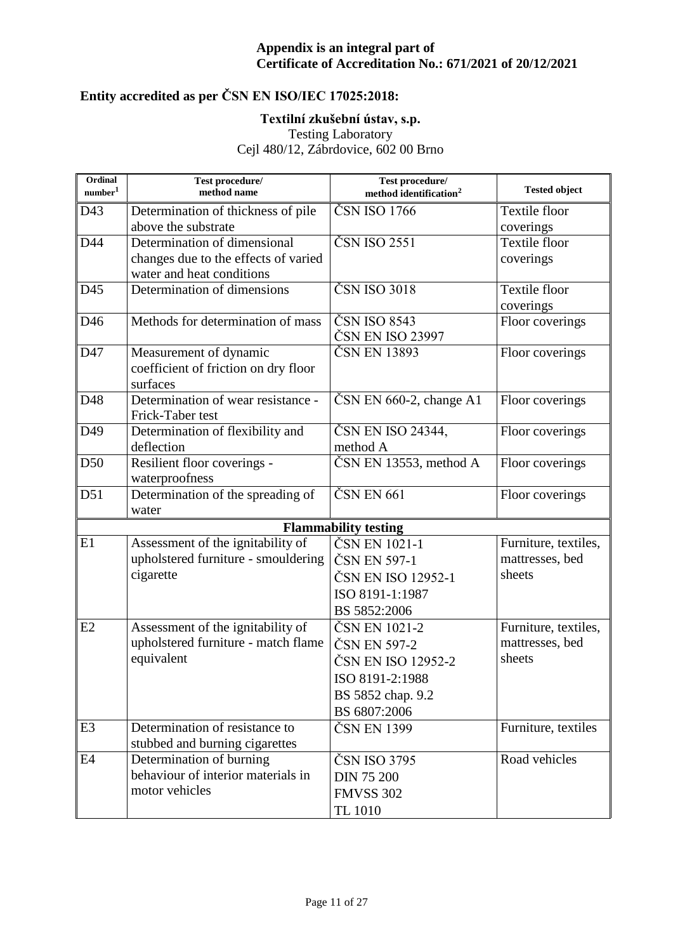# **Entity accredited as per ČSN EN ISO/IEC 17025:2018:**

### **Textilní zkušební ústav, s.p.**

Testing Laboratory

| Ordinal<br>$\mbox{number}^1$ | Test procedure/<br>method name       | Test procedure/<br>method identification <sup>2</sup> | <b>Tested object</b> |
|------------------------------|--------------------------------------|-------------------------------------------------------|----------------------|
| D43                          | Determination of thickness of pile   | ČSN ISO 1766                                          | Textile floor        |
|                              | above the substrate                  |                                                       | coverings            |
| D44                          | Determination of dimensional         | ČSN ISO 2551                                          | Textile floor        |
|                              | changes due to the effects of varied |                                                       | coverings            |
|                              | water and heat conditions            |                                                       |                      |
| D45                          | Determination of dimensions          | ČSN ISO 3018                                          | Textile floor        |
|                              |                                      |                                                       | coverings            |
| D46                          | Methods for determination of mass    | ČSN ISO 8543                                          | Floor coverings      |
|                              |                                      | ČSN EN ISO 23997                                      |                      |
| D47                          | Measurement of dynamic               | ČSN EN 13893                                          | Floor coverings      |
|                              | coefficient of friction on dry floor |                                                       |                      |
|                              | surfaces                             |                                                       |                      |
| D48                          | Determination of wear resistance -   | $\text{ČSN}$ EN 660-2, change A1                      | Floor coverings      |
|                              | Frick-Taber test                     |                                                       |                      |
| D49                          | Determination of flexibility and     | ČSN EN ISO 24344,                                     | Floor coverings      |
|                              | deflection                           | method A                                              |                      |
| D50                          | Resilient floor coverings -          | $\text{ČSN}$ EN 13553, method A                       | Floor coverings      |
|                              | waterproofness                       |                                                       |                      |
| D51                          | Determination of the spreading of    | ČSN EN 661                                            | Floor coverings      |
|                              | water                                |                                                       |                      |
|                              |                                      | <b>Flammability testing</b>                           |                      |
| E1                           | Assessment of the ignitability of    | ČSN EN 1021-1                                         | Furniture, textiles, |
|                              | upholstered furniture - smouldering  | ČSN EN 597-1                                          | mattresses, bed      |
|                              | cigarette                            | ČSN EN ISO 12952-1                                    | sheets               |
|                              |                                      | ISO 8191-1:1987                                       |                      |
|                              |                                      | BS 5852:2006                                          |                      |
| E2                           | Assessment of the ignitability of    | ČSN EN 1021-2                                         | Furniture, textiles, |
|                              | upholstered furniture - match flame  | ČSN EN 597-2                                          | mattresses, bed      |
|                              | equivalent                           | ČSN EN ISO 12952-2                                    | sheets               |
|                              |                                      | ISO 8191-2:1988                                       |                      |
|                              |                                      | BS 5852 chap. 9.2                                     |                      |
|                              |                                      | BS 6807:2006                                          |                      |
| E <sub>3</sub>               | Determination of resistance to       | ČSN EN 1399                                           | Furniture, textiles  |
|                              | stubbed and burning cigarettes       |                                                       |                      |
| E4                           | Determination of burning             | ČSN ISO 3795                                          | Road vehicles        |
|                              | behaviour of interior materials in   | <b>DIN 75 200</b>                                     |                      |
|                              | motor vehicles                       | <b>FMVSS 302</b>                                      |                      |
|                              |                                      | TL 1010                                               |                      |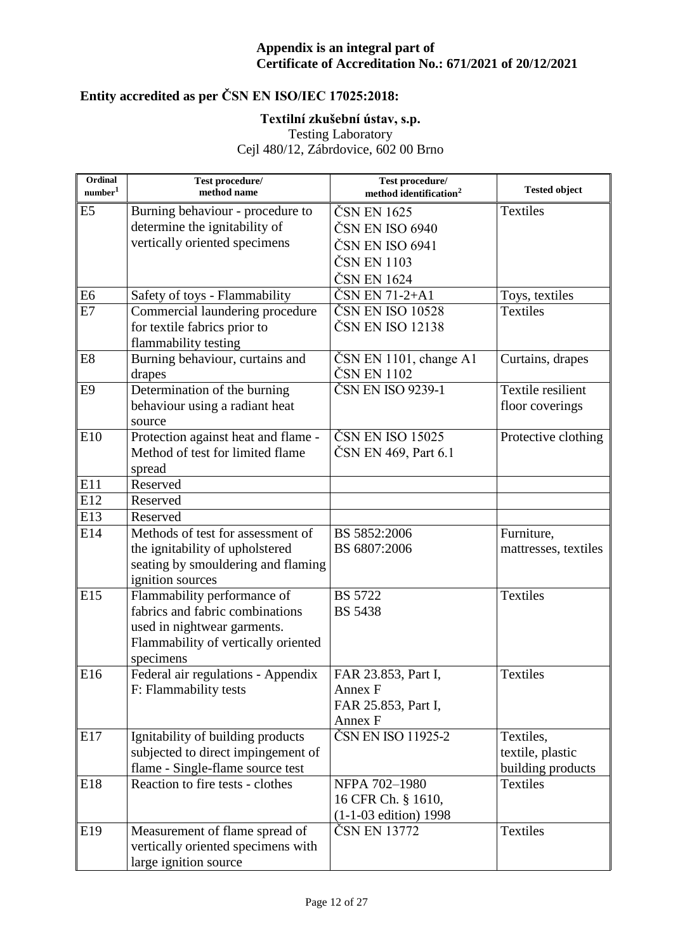# **Entity accredited as per ČSN EN ISO/IEC 17025:2018:**

### **Textilní zkušební ústav, s.p.**

Testing Laboratory

| Ordinal<br>number <sup>1</sup> | Test procedure/<br>method name                                                                                                                    | Test procedure/<br>method identification <sup>2</sup>            | <b>Tested object</b>                               |
|--------------------------------|---------------------------------------------------------------------------------------------------------------------------------------------------|------------------------------------------------------------------|----------------------------------------------------|
| E <sub>5</sub>                 | Burning behaviour - procedure to<br>determine the ignitability of                                                                                 | ČSN EN 1625<br>ČSN EN ISO 6940                                   | <b>Textiles</b>                                    |
|                                | vertically oriented specimens                                                                                                                     | ČSN EN ISO 6941                                                  |                                                    |
|                                |                                                                                                                                                   | ČSN EN 1103                                                      |                                                    |
|                                |                                                                                                                                                   | ČSN EN 1624                                                      |                                                    |
| E <sub>6</sub>                 | Safety of toys - Flammability                                                                                                                     | ČSN EN 71-2+A1                                                   | Toys, textiles                                     |
| E7                             | Commercial laundering procedure                                                                                                                   | ČSN EN ISO 10528                                                 | <b>Textiles</b>                                    |
|                                | for textile fabrics prior to<br>flammability testing                                                                                              | ČSN EN ISO 12138                                                 |                                                    |
| E <sub>8</sub>                 | Burning behaviour, curtains and<br>drapes                                                                                                         | ČSN EN 1101, change A1<br>ČSN EN 1102                            | Curtains, drapes                                   |
| E <sub>9</sub>                 | Determination of the burning<br>behaviour using a radiant heat<br>source                                                                          | ČSN EN ISO 9239-1                                                | Textile resilient<br>floor coverings               |
| E10                            | Protection against heat and flame -<br>Method of test for limited flame<br>spread                                                                 | ČSN EN ISO 15025<br>ČSN EN 469, Part 6.1                         | Protective clothing                                |
| E11                            | Reserved                                                                                                                                          |                                                                  |                                                    |
| E12                            | Reserved                                                                                                                                          |                                                                  |                                                    |
| E13                            | Reserved                                                                                                                                          |                                                                  |                                                    |
| E14                            | Methods of test for assessment of<br>the ignitability of upholstered<br>seating by smouldering and flaming<br>ignition sources                    | BS 5852:2006<br>BS 6807:2006                                     | Furniture,<br>mattresses, textiles                 |
| E15                            | Flammability performance of<br>fabrics and fabric combinations<br>used in nightwear garments.<br>Flammability of vertically oriented<br>specimens | <b>BS 5722</b><br><b>BS 5438</b>                                 | <b>Textiles</b>                                    |
| E16                            | Federal air regulations - Appendix<br>F: Flammability tests                                                                                       | FAR 23.853, Part I,<br>Annex F<br>FAR 25.853, Part I,<br>Annex F | <b>Textiles</b>                                    |
| E17                            | Ignitability of building products<br>subjected to direct impingement of<br>flame - Single-flame source test                                       | ČSN EN ISO 11925-2                                               | Textiles,<br>textile, plastic<br>building products |
| E18                            | Reaction to fire tests - clothes                                                                                                                  | NFPA 702-1980<br>16 CFR Ch. § 1610,<br>$(1-1-03$ edition) 1998   | <b>Textiles</b>                                    |
| E19                            | Measurement of flame spread of<br>vertically oriented specimens with<br>large ignition source                                                     | ČSN EN 13772                                                     | <b>Textiles</b>                                    |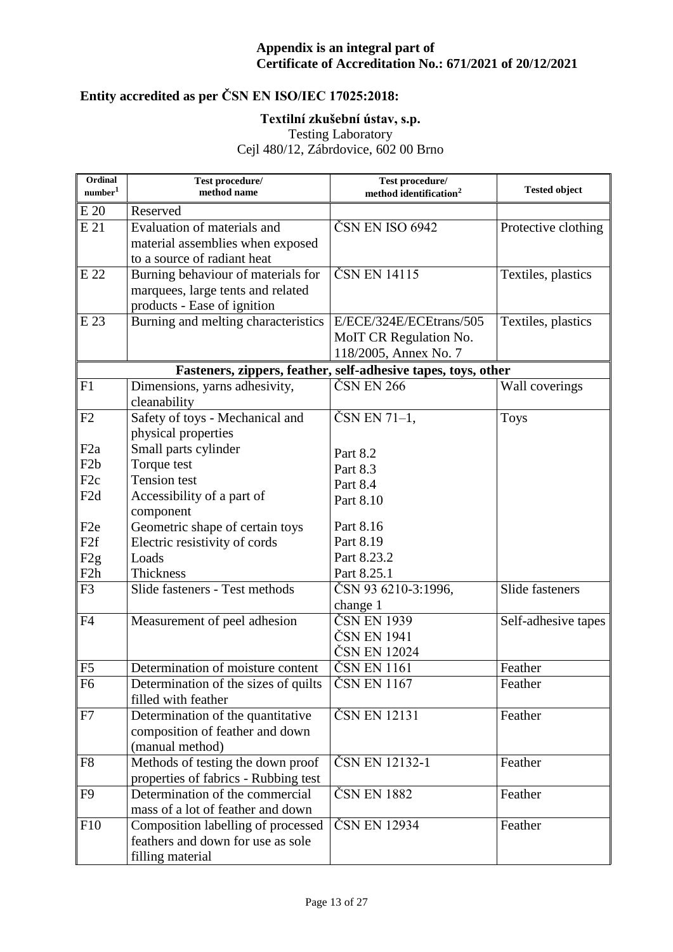# **Entity accredited as per ČSN EN ISO/IEC 17025:2018:**

### **Textilní zkušební ústav, s.p.**

Testing Laboratory

| Ordinal<br>number <sup>1</sup> | Test procedure/<br>method name       | Test procedure/<br>method identification <sup>2</sup>         | <b>Tested object</b> |
|--------------------------------|--------------------------------------|---------------------------------------------------------------|----------------------|
| E 20                           | Reserved                             |                                                               |                      |
| E 21                           | Evaluation of materials and          | ČSN EN ISO 6942                                               | Protective clothing  |
|                                | material assemblies when exposed     |                                                               |                      |
|                                | to a source of radiant heat          |                                                               |                      |
| E 22                           | Burning behaviour of materials for   | ČSN EN 14115                                                  | Textiles, plastics   |
|                                | marquees, large tents and related    |                                                               |                      |
|                                | products - Ease of ignition          |                                                               |                      |
| E 23                           | Burning and melting characteristics  | E/ECE/324E/ECEtrans/505                                       | Textiles, plastics   |
|                                |                                      | MoIT CR Regulation No.                                        |                      |
|                                |                                      | 118/2005, Annex No. 7                                         |                      |
|                                |                                      | Fasteners, zippers, feather, self-adhesive tapes, toys, other |                      |
| F1                             | Dimensions, yarns adhesivity,        | ČSN EN 266                                                    | Wall coverings       |
|                                | cleanability                         |                                                               |                      |
| F2                             | Safety of toys - Mechanical and      | ČSN EN 71-1,                                                  | <b>Toys</b>          |
|                                | physical properties                  |                                                               |                      |
| F <sub>2</sub> a               | Small parts cylinder                 | Part 8.2                                                      |                      |
| F <sub>2</sub> b               | Torque test                          | Part 8.3                                                      |                      |
| F <sub>2c</sub>                | <b>Tension</b> test                  | Part 8.4                                                      |                      |
| F <sub>2</sub> d               | Accessibility of a part of           | Part 8.10                                                     |                      |
|                                | component                            |                                                               |                      |
| F <sub>2e</sub>                | Geometric shape of certain toys      | Part 8.16                                                     |                      |
| F <sub>2f</sub>                | Electric resistivity of cords        | Part 8.19                                                     |                      |
| F <sub>2g</sub>                | Loads                                | Part 8.23.2                                                   |                      |
| F <sub>2</sub> h               | Thickness                            | Part 8.25.1                                                   |                      |
| F <sub>3</sub>                 | Slide fasteners - Test methods       | ČSN 93 6210-3:1996,                                           | Slide fasteners      |
|                                |                                      | change 1                                                      |                      |
| F4                             | Measurement of peel adhesion         | ČSN EN 1939                                                   | Self-adhesive tapes  |
|                                |                                      | ČSN EN 1941                                                   |                      |
|                                |                                      | ČSN EN 12024                                                  |                      |
| F <sub>5</sub>                 | Determination of moisture content    | ČSN EN 1161                                                   | Feather              |
| F <sub>6</sub>                 | Determination of the sizes of quilts | ČSN EN 1167                                                   | Feather              |
|                                | filled with feather                  |                                                               |                      |
| F7                             | Determination of the quantitative    | ČSN EN 12131                                                  | Feather              |
|                                | composition of feather and down      |                                                               |                      |
|                                | (manual method)                      |                                                               |                      |
| F <sub>8</sub>                 | Methods of testing the down proof    | ČSN EN 12132-1                                                | Feather              |
|                                | properties of fabrics - Rubbing test |                                                               |                      |
| F <sub>9</sub>                 | Determination of the commercial      | ČSN EN 1882                                                   | Feather              |
|                                | mass of a lot of feather and down    |                                                               |                      |
| F10                            | Composition labelling of processed   | ČSN EN 12934                                                  | Feather              |
|                                | feathers and down for use as sole    |                                                               |                      |
|                                | filling material                     |                                                               |                      |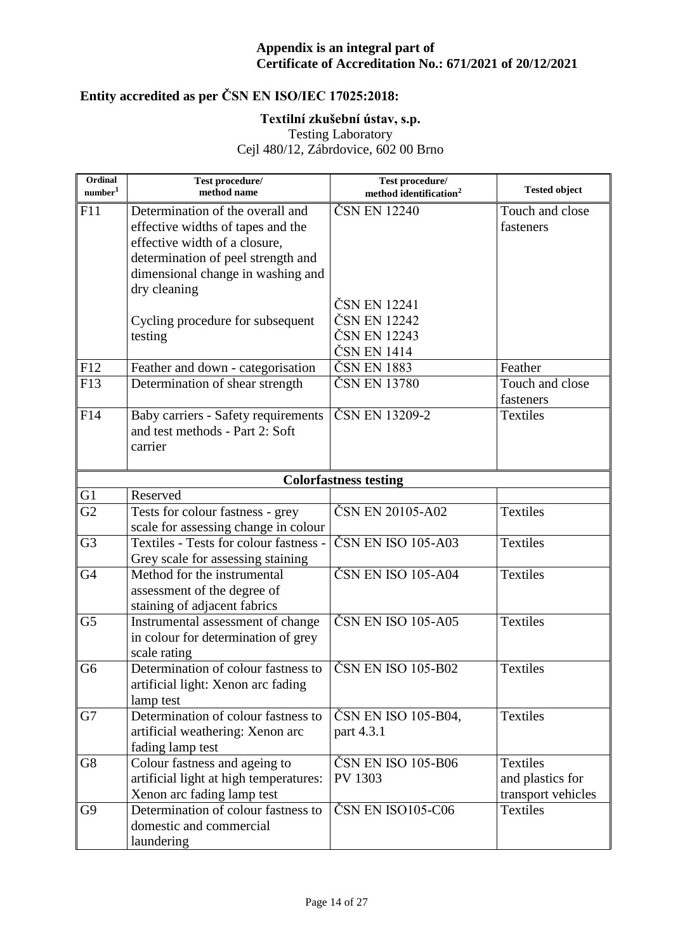# **Entity accredited as per ČSN EN ISO/IEC 17025:2018:**

### **Textilní zkušební ústav, s.p.**

Testing Laboratory

| Ordinal<br>number <sup>1</sup> | Test procedure/<br>method name                                                                                                                                                    | Test procedure/<br>method identification <sup>2</sup>       | <b>Tested object</b>                               |
|--------------------------------|-----------------------------------------------------------------------------------------------------------------------------------------------------------------------------------|-------------------------------------------------------------|----------------------------------------------------|
| F11                            | Determination of the overall and<br>effective widths of tapes and the<br>effective width of a closure,<br>determination of peel strength and<br>dimensional change in washing and | ČSN EN 12240                                                | Touch and close<br>fasteners                       |
|                                | dry cleaning<br>Cycling procedure for subsequent<br>testing                                                                                                                       | ČSN EN 12241<br>ČSN EN 12242<br>ČSN EN 12243<br>ČSN EN 1414 |                                                    |
| F12                            | Feather and down - categorisation                                                                                                                                                 | ČSN EN 1883                                                 | Feather                                            |
| F13                            | Determination of shear strength                                                                                                                                                   | ČSN EN 13780                                                | Touch and close<br>fasteners                       |
| F14                            | Baby carriers - Safety requirements<br>and test methods - Part 2: Soft<br>carrier                                                                                                 | ČSN EN 13209-2                                              | <b>Textiles</b>                                    |
|                                |                                                                                                                                                                                   | <b>Colorfastness testing</b>                                |                                                    |
| G <sub>1</sub>                 | Reserved                                                                                                                                                                          |                                                             |                                                    |
| G2                             | Tests for colour fastness - grey<br>scale for assessing change in colour                                                                                                          | ČSN EN 20105-A02                                            | <b>Textiles</b>                                    |
| G <sub>3</sub>                 | Textiles - Tests for colour fastness -<br>Grey scale for assessing staining                                                                                                       | ČSN EN ISO 105-A03                                          | <b>Textiles</b>                                    |
| G <sub>4</sub>                 | Method for the instrumental<br>assessment of the degree of<br>staining of adjacent fabrics                                                                                        | ČSN EN ISO 105-A04                                          | <b>Textiles</b>                                    |
| G <sub>5</sub>                 | Instrumental assessment of change<br>in colour for determination of grey<br>scale rating                                                                                          | ČSN EN ISO 105-A05                                          | <b>Textiles</b>                                    |
| G <sub>6</sub>                 | Determination of colour fastness to<br>artificial light: Xenon arc fading<br>lamp test                                                                                            | ČSN EN ISO 105-B02                                          | <b>Textiles</b>                                    |
| G7                             | Determination of colour fastness to<br>artificial weathering: Xenon arc<br>fading lamp test                                                                                       | ČSN EN ISO 105-B04,<br>part 4.3.1                           | <b>Textiles</b>                                    |
| G8                             | Colour fastness and ageing to<br>artificial light at high temperatures:<br>Xenon arc fading lamp test                                                                             | ČSN EN ISO 105-B06<br>PV 1303                               | Textiles<br>and plastics for<br>transport vehicles |
| G9                             | Determination of colour fastness to<br>domestic and commercial<br>laundering                                                                                                      | ČSN EN ISO105-C06                                           | <b>Textiles</b>                                    |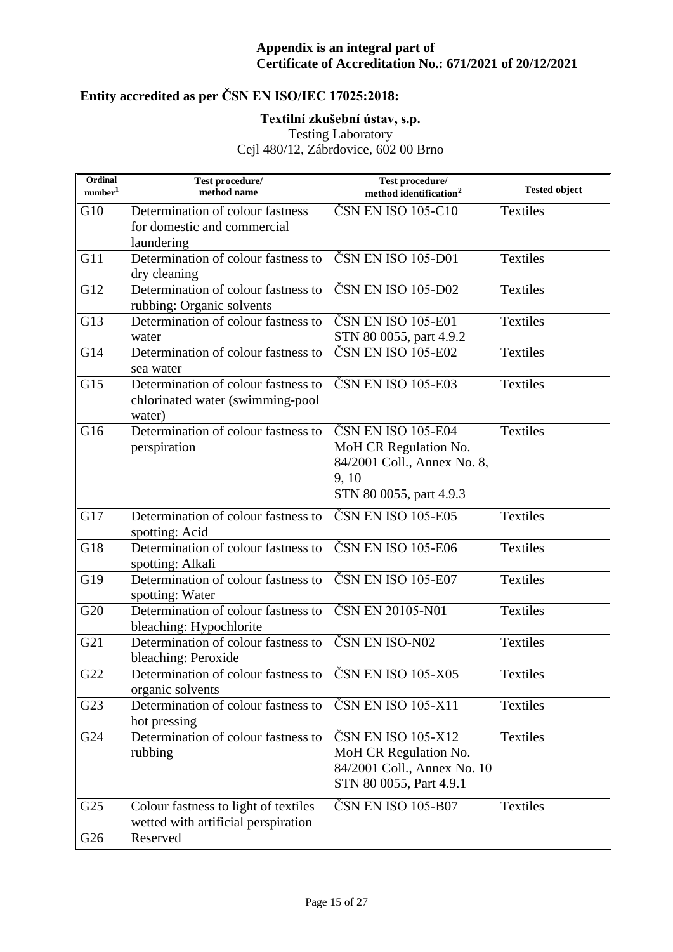# **Entity accredited as per ČSN EN ISO/IEC 17025:2018:**

### **Textilní zkušební ústav, s.p.**

Testing Laboratory

| Ordinal<br>number <sup>1</sup> | Test procedure/<br>method name                                                    | Test procedure/<br>method identification <sup>2</sup>                                                         | <b>Tested object</b> |
|--------------------------------|-----------------------------------------------------------------------------------|---------------------------------------------------------------------------------------------------------------|----------------------|
| G10                            | Determination of colour fastness<br>for domestic and commercial<br>laundering     | ČSN EN ISO 105-C10                                                                                            | <b>Textiles</b>      |
| G11                            | Determination of colour fastness to<br>dry cleaning                               | ČSN EN ISO 105-D01                                                                                            | <b>Textiles</b>      |
| G12                            | Determination of colour fastness to<br>rubbing: Organic solvents                  | ČSN EN ISO 105-D02                                                                                            | <b>Textiles</b>      |
| G13                            | Determination of colour fastness to<br>water                                      | ČSN EN ISO 105-E01<br>STN 80 0055, part 4.9.2                                                                 | <b>Textiles</b>      |
| G14                            | Determination of colour fastness to<br>sea water                                  | ČSN EN ISO 105-E02                                                                                            | <b>Textiles</b>      |
| G15                            | Determination of colour fastness to<br>chlorinated water (swimming-pool<br>water) | ČSN EN ISO 105-E03                                                                                            | <b>Textiles</b>      |
| G16                            | Determination of colour fastness to<br>perspiration                               | ČSN EN ISO 105-E04<br>MoH CR Regulation No.<br>84/2001 Coll., Annex No. 8,<br>9,10<br>STN 80 0055, part 4.9.3 | <b>Textiles</b>      |
| G17                            | Determination of colour fastness to<br>spotting: Acid                             | ČSN EN ISO 105-E05                                                                                            | <b>Textiles</b>      |
| G18                            | Determination of colour fastness to<br>spotting: Alkali                           | ČSN EN ISO 105-E06                                                                                            | <b>Textiles</b>      |
| G19                            | Determination of colour fastness to<br>spotting: Water                            | ČSN EN ISO 105-E07                                                                                            | <b>Textiles</b>      |
| G20                            | Determination of colour fastness to<br>bleaching: Hypochlorite                    | ČSN EN 20105-N01                                                                                              | <b>Textiles</b>      |
| G21                            | Determination of colour fastness to<br>bleaching: Peroxide                        | ČSN EN ISO-N02                                                                                                | <b>Textiles</b>      |
| G22                            | Determination of colour fastness to<br>organic solvents                           | ČSN EN ISO 105-X05                                                                                            | <b>Textiles</b>      |
| G23                            | Determination of colour fastness to<br>hot pressing                               | ČSN EN ISO 105-X11                                                                                            | Textiles             |
| G24                            | Determination of colour fastness to<br>rubbing                                    | ČSN EN ISO 105-X12<br>MoH CR Regulation No.<br>84/2001 Coll., Annex No. 10<br>STN 80 0055, Part 4.9.1         | <b>Textiles</b>      |
| G25                            | Colour fastness to light of textiles<br>wetted with artificial perspiration       | ČSN EN ISO 105-B07                                                                                            | Textiles             |
| G26                            | Reserved                                                                          |                                                                                                               |                      |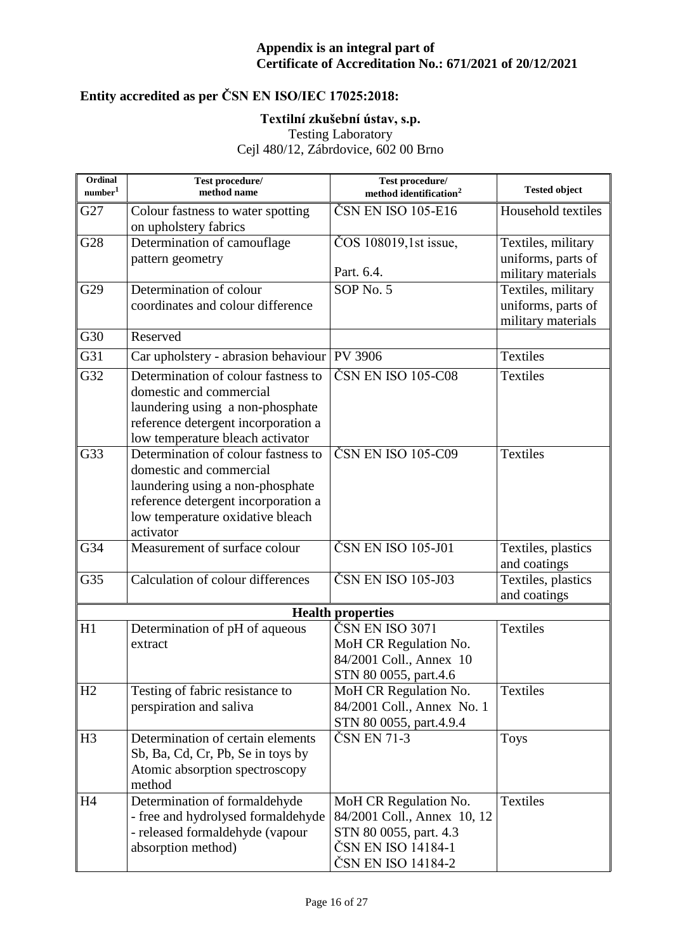# **Entity accredited as per ČSN EN ISO/IEC 17025:2018:**

### **Textilní zkušební ústav, s.p.**

Testing Laboratory

| Ordinal<br>$\mbox{number}^1$ | Test procedure/<br>method name                                         | Test procedure/<br>method identification <sup>2</sup> | <b>Tested object</b> |
|------------------------------|------------------------------------------------------------------------|-------------------------------------------------------|----------------------|
| G27                          | Colour fastness to water spotting<br>on upholstery fabrics             | ČSN EN ISO 105-E16                                    | Household textiles   |
| G28                          | Determination of camouflage                                            | ČOS 108019,1st issue,                                 | Textiles, military   |
|                              | pattern geometry                                                       |                                                       | uniforms, parts of   |
|                              |                                                                        | Part. 6.4.                                            | military materials   |
| G29                          | Determination of colour                                                | SOP No. 5                                             | Textiles, military   |
|                              | coordinates and colour difference                                      |                                                       | uniforms, parts of   |
| G30                          | Reserved                                                               |                                                       | military materials   |
| G31                          | Car upholstery - abrasion behaviour                                    | <b>PV 3906</b>                                        | <b>Textiles</b>      |
| G32                          | Determination of colour fastness to                                    | ČSN EN ISO 105-C08                                    | <b>Textiles</b>      |
|                              | domestic and commercial                                                |                                                       |                      |
|                              | laundering using a non-phosphate                                       |                                                       |                      |
|                              | reference detergent incorporation a                                    |                                                       |                      |
|                              | low temperature bleach activator                                       |                                                       |                      |
| G33                          | Determination of colour fastness to                                    | ČSN EN ISO 105-C09                                    | <b>Textiles</b>      |
|                              | domestic and commercial                                                |                                                       |                      |
|                              | laundering using a non-phosphate                                       |                                                       |                      |
|                              | reference detergent incorporation a                                    |                                                       |                      |
|                              | low temperature oxidative bleach                                       |                                                       |                      |
| G34                          | activator<br>Measurement of surface colour                             | ČSN EN ISO 105-J01                                    | Textiles, plastics   |
|                              |                                                                        |                                                       | and coatings         |
| G35                          | Calculation of colour differences                                      | ČSN EN ISO 105-J03                                    | Textiles, plastics   |
|                              |                                                                        |                                                       | and coatings         |
|                              |                                                                        | <b>Health properties</b>                              |                      |
| H1                           | Determination of pH of aqueous                                         | ČSN EN ISO 3071                                       | <b>Textiles</b>      |
|                              | extract                                                                | MoH CR Regulation No.                                 |                      |
|                              |                                                                        | 84/2001 Coll., Annex 10                               |                      |
|                              |                                                                        | STN 80 0055, part.4.6                                 |                      |
| H2                           | Testing of fabric resistance to                                        | MoH CR Regulation No.                                 | <b>Textiles</b>      |
|                              | perspiration and saliva                                                | 84/2001 Coll., Annex No. 1                            |                      |
|                              |                                                                        | STN 80 0055, part.4.9.4<br>ČSN EN 71-3                |                      |
| H <sub>3</sub>               | Determination of certain elements<br>Sb, Ba, Cd, Cr, Pb, Se in toys by |                                                       | <b>Toys</b>          |
|                              | Atomic absorption spectroscopy                                         |                                                       |                      |
|                              | method                                                                 |                                                       |                      |
| H <sub>4</sub>               | Determination of formaldehyde                                          | MoH CR Regulation No.                                 | Textiles             |
|                              | - free and hydrolysed formaldehyde                                     | 84/2001 Coll., Annex 10, 12                           |                      |
|                              | - released formaldehyde (vapour                                        | STN 80 0055, part. 4.3                                |                      |
|                              | absorption method)                                                     | ČSN EN ISO 14184-1                                    |                      |
|                              |                                                                        | ČSN EN ISO 14184-2                                    |                      |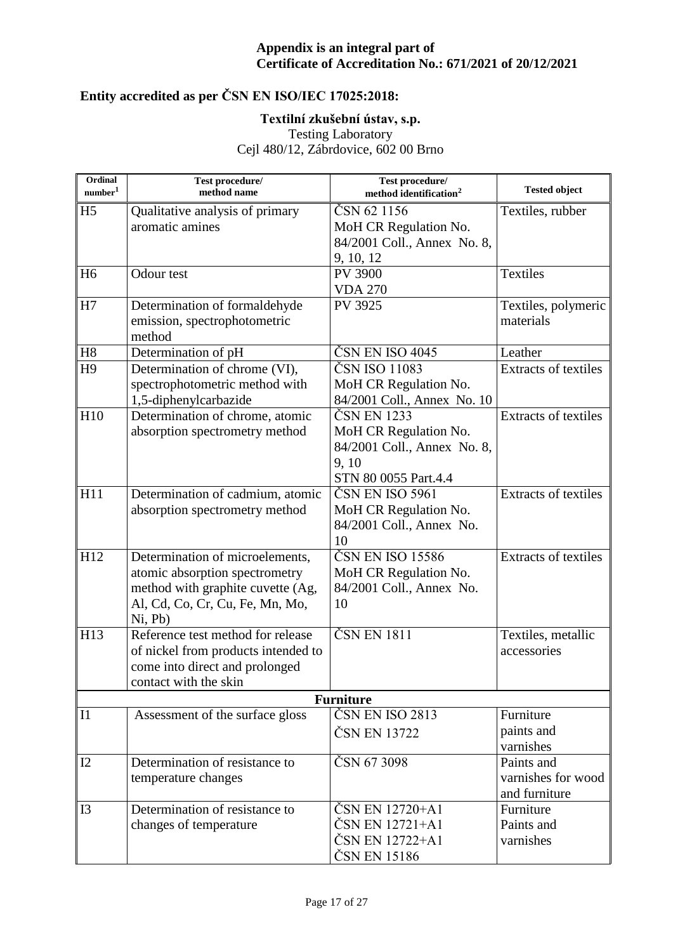# **Entity accredited as per ČSN EN ISO/IEC 17025:2018:**

### **Textilní zkušební ústav, s.p.**

Testing Laboratory

| Ordinal<br>number <sup>1</sup> | Test procedure/<br>method name      | Test procedure/<br>method identification <sup>2</sup> | <b>Tested object</b>        |
|--------------------------------|-------------------------------------|-------------------------------------------------------|-----------------------------|
| H <sub>5</sub>                 | Qualitative analysis of primary     | ČSN 62 1156                                           | Textiles, rubber            |
|                                | aromatic amines                     | MoH CR Regulation No.                                 |                             |
|                                |                                     | 84/2001 Coll., Annex No. 8,                           |                             |
|                                |                                     | 9, 10, 12                                             |                             |
| H <sub>6</sub>                 | Odour test                          | <b>PV 3900</b>                                        | Textiles                    |
|                                |                                     | <b>VDA 270</b>                                        |                             |
| H7                             | Determination of formaldehyde       | PV 3925                                               | Textiles, polymeric         |
|                                | emission, spectrophotometric        |                                                       | materials                   |
|                                | method                              |                                                       |                             |
| H8                             | Determination of pH                 | ČSN EN ISO 4045                                       | Leather                     |
| H <sub>9</sub>                 | Determination of chrome (VI),       | ČSN ISO 11083                                         | <b>Extracts of textiles</b> |
|                                | spectrophotometric method with      | MoH CR Regulation No.                                 |                             |
|                                | 1,5-diphenylcarbazide               | 84/2001 Coll., Annex No. 10                           |                             |
| H10                            | Determination of chrome, atomic     | ČSN EN 1233                                           | <b>Extracts of textiles</b> |
|                                | absorption spectrometry method      | MoH CR Regulation No.                                 |                             |
|                                |                                     | 84/2001 Coll., Annex No. 8,                           |                             |
|                                |                                     | 9,10                                                  |                             |
|                                |                                     | STN 80 0055 Part.4.4                                  |                             |
| H11                            | Determination of cadmium, atomic    | ČSN EN ISO 5961                                       | Extracts of textiles        |
|                                | absorption spectrometry method      | MoH CR Regulation No.                                 |                             |
|                                |                                     | 84/2001 Coll., Annex No.                              |                             |
|                                |                                     | 10                                                    |                             |
| H12                            | Determination of microelements,     | ČSN EN ISO 15586                                      | <b>Extracts of textiles</b> |
|                                | atomic absorption spectrometry      | MoH CR Regulation No.                                 |                             |
|                                | method with graphite cuvette (Ag,   | 84/2001 Coll., Annex No.                              |                             |
|                                | Al, Cd, Co, Cr, Cu, Fe, Mn, Mo,     | 10                                                    |                             |
|                                | Ni, Pb)                             |                                                       |                             |
| H13                            | Reference test method for release   | ČSN EN 1811                                           | Textiles, metallic          |
|                                | of nickel from products intended to |                                                       | accessories                 |
|                                | come into direct and prolonged      |                                                       |                             |
|                                | contact with the skin               |                                                       |                             |
|                                |                                     | <b>Furniture</b>                                      |                             |
| I1                             | Assessment of the surface gloss     | $\overline{\text{CS}}$ N EN ISO 2813                  | Furniture                   |
|                                |                                     | ČSN EN 13722                                          | paints and                  |
|                                |                                     |                                                       | varnishes                   |
| I2                             | Determination of resistance to      | ČSN 67 3098                                           | Paints and                  |
|                                | temperature changes                 |                                                       | varnishes for wood          |
|                                |                                     |                                                       | and furniture               |
| I3                             | Determination of resistance to      | ČSN EN 12720+A1                                       | Furniture                   |
|                                | changes of temperature              | ČSN EN 12721+A1                                       | Paints and                  |
|                                |                                     | ČSN EN 12722+A1                                       | varnishes                   |
|                                |                                     | ČSN EN 15186                                          |                             |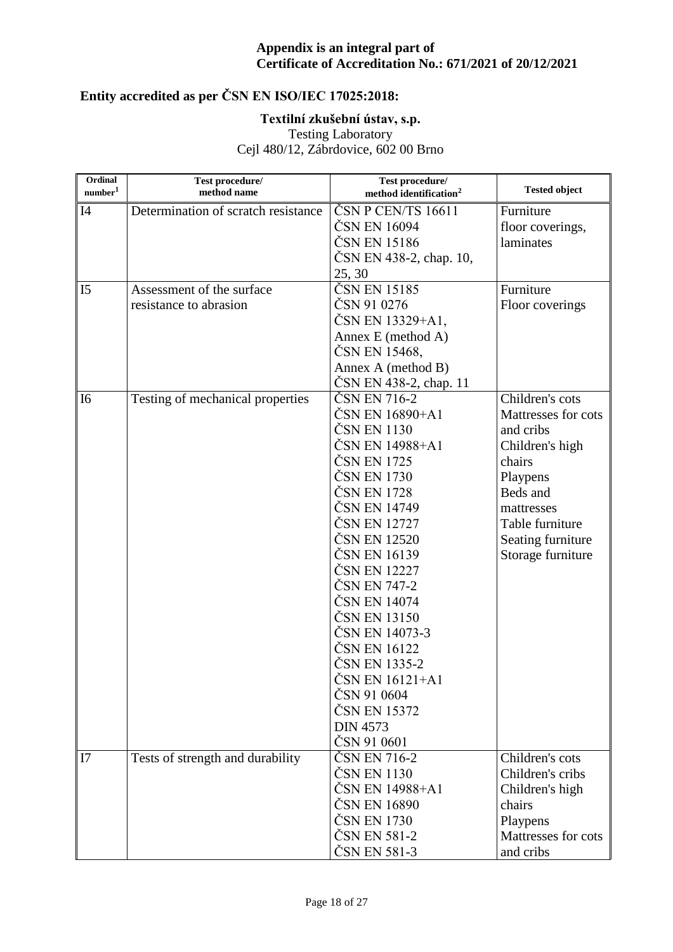# **Entity accredited as per ČSN EN ISO/IEC 17025:2018:**

### **Textilní zkušební ústav, s.p.**

Testing Laboratory

| Ordinal<br>number <sup>1</sup> | Test procedure/<br>method name      | Test procedure/<br>method identification <sup>2</sup> | <b>Tested object</b> |
|--------------------------------|-------------------------------------|-------------------------------------------------------|----------------------|
| I4                             | Determination of scratch resistance | ČSN P CEN/TS 16611                                    | Furniture            |
|                                |                                     | ČSN EN 16094                                          | floor coverings,     |
|                                |                                     | ČSN EN 15186                                          | laminates            |
|                                |                                     | ČSN EN 438-2, chap. 10,                               |                      |
|                                |                                     | 25, 30                                                |                      |
| I <sub>5</sub>                 | Assessment of the surface           | ČSN EN 15185                                          | Furniture            |
|                                | resistance to abrasion              | ČSN 91 0276                                           | Floor coverings      |
|                                |                                     | ČSN EN 13329+A1,                                      |                      |
|                                |                                     | Annex E (method A)                                    |                      |
|                                |                                     | ČSN EN 15468,                                         |                      |
|                                |                                     | Annex A (method B)                                    |                      |
|                                |                                     | CSN EN 438-2, chap. 11                                |                      |
| I <sub>6</sub>                 | Testing of mechanical properties    | ČSN EN 716-2                                          | Children's cots      |
|                                |                                     | ČSN EN 16890+A1                                       | Mattresses for cots  |
|                                |                                     | ČSN EN 1130                                           | and cribs            |
|                                |                                     | ČSN EN 14988+A1                                       | Children's high      |
|                                |                                     | ČSN EN 1725                                           | chairs               |
|                                |                                     | ČSN EN 1730                                           | Playpens             |
|                                |                                     | ČSN EN 1728                                           | Beds and             |
|                                |                                     | ČSN EN 14749                                          | mattresses           |
|                                |                                     | ČSN EN 12727                                          | Table furniture      |
|                                |                                     | ČSN EN 12520                                          | Seating furniture    |
|                                |                                     | ČSN EN 16139                                          | Storage furniture    |
|                                |                                     | ČSN EN 12227                                          |                      |
|                                |                                     | ČSN EN 747-2                                          |                      |
|                                |                                     | ČSN EN 14074                                          |                      |
|                                |                                     | ČSN EN 13150                                          |                      |
|                                |                                     | ČSN EN 14073-3                                        |                      |
|                                |                                     | ČSN EN 16122                                          |                      |
|                                |                                     | ČSN EN 1335-2                                         |                      |
|                                |                                     | ČSN EN 16121+A1                                       |                      |
|                                |                                     | ČSN 91 0604<br>ČSN EN 15372                           |                      |
|                                |                                     | <b>DIN 4573</b>                                       |                      |
|                                |                                     | ČSN 91 0601                                           |                      |
| I7                             | Tests of strength and durability    | ČSN EN 716-2                                          | Children's cots      |
|                                |                                     | ČSN EN 1130                                           | Children's cribs     |
|                                |                                     | ČSN EN 14988+A1                                       | Children's high      |
|                                |                                     | ČSN EN 16890                                          | chairs               |
|                                |                                     | ČSN EN 1730                                           | Playpens             |
|                                |                                     | ČSN EN 581-2                                          | Mattresses for cots  |
|                                |                                     | ČSN EN 581-3                                          | and cribs            |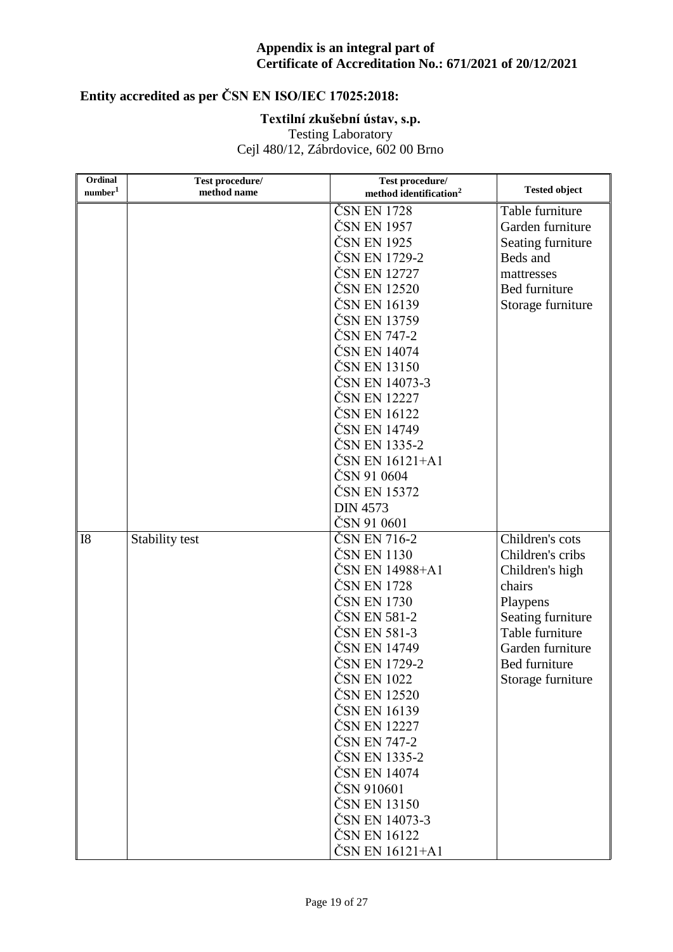# **Entity accredited as per ČSN EN ISO/IEC 17025:2018:**

### **Textilní zkušební ústav, s.p.**

Testing Laboratory

| Ordinal<br>$\mbox{number}^1$ | Test procedure/<br>method name | Test procedure/<br>method identification <sup>2</sup> | <b>Tested object</b> |
|------------------------------|--------------------------------|-------------------------------------------------------|----------------------|
|                              |                                | ČSN EN 1728                                           | Table furniture      |
|                              |                                | ČSN EN 1957                                           | Garden furniture     |
|                              |                                | ČSN EN 1925                                           | Seating furniture    |
|                              |                                | ČSN EN 1729-2                                         | Beds and             |
|                              |                                | ČSN EN 12727                                          | mattresses           |
|                              |                                | ČSN EN 12520                                          | Bed furniture        |
|                              |                                | ČSN EN 16139                                          | Storage furniture    |
|                              |                                | ČSN EN 13759                                          |                      |
|                              |                                | ČSN EN 747-2                                          |                      |
|                              |                                | ČSN EN 14074                                          |                      |
|                              |                                | ČSN EN 13150                                          |                      |
|                              |                                | ČSN EN 14073-3                                        |                      |
|                              |                                | ČSN EN 12227                                          |                      |
|                              |                                | ČSN EN 16122                                          |                      |
|                              |                                | ČSN EN 14749                                          |                      |
|                              |                                | ČSN EN 1335-2                                         |                      |
|                              |                                | ČSN EN 16121+A1                                       |                      |
|                              |                                | ČSN 91 0604                                           |                      |
|                              |                                | ČSN EN 15372                                          |                      |
|                              |                                | <b>DIN 4573</b>                                       |                      |
|                              |                                | ČSN 91 0601                                           |                      |
| I <sub>8</sub>               | Stability test                 | ČSN EN 716-2                                          | Children's cots      |
|                              |                                | ČSN EN 1130                                           | Children's cribs     |
|                              |                                | ČSN EN 14988+A1                                       | Children's high      |
|                              |                                | ČSN EN 1728                                           | chairs               |
|                              |                                | ČSN EN 1730                                           | Playpens             |
|                              |                                | ČSN EN 581-2                                          | Seating furniture    |
|                              |                                | ČSN EN 581-3                                          | Table furniture      |
|                              |                                | ČSN EN 14749                                          | Garden furniture     |
|                              |                                | ČSN EN 1729-2                                         | Bed furniture        |
|                              |                                | ČSN EN 1022                                           | Storage furniture    |
|                              |                                | ČSN EN 12520                                          |                      |
|                              |                                | ČSN EN 16139                                          |                      |
|                              |                                | ČSN EN 12227                                          |                      |
|                              |                                | ČSN EN 747-2                                          |                      |
|                              |                                | ČSN EN 1335-2                                         |                      |
|                              |                                | ČSN EN 14074                                          |                      |
|                              |                                | ČSN 910601                                            |                      |
|                              |                                | ČSN EN 13150<br>ČSN EN 14073-3                        |                      |
|                              |                                |                                                       |                      |
|                              |                                | ČSN EN 16122                                          |                      |
|                              |                                | ČSN EN 16121+A1                                       |                      |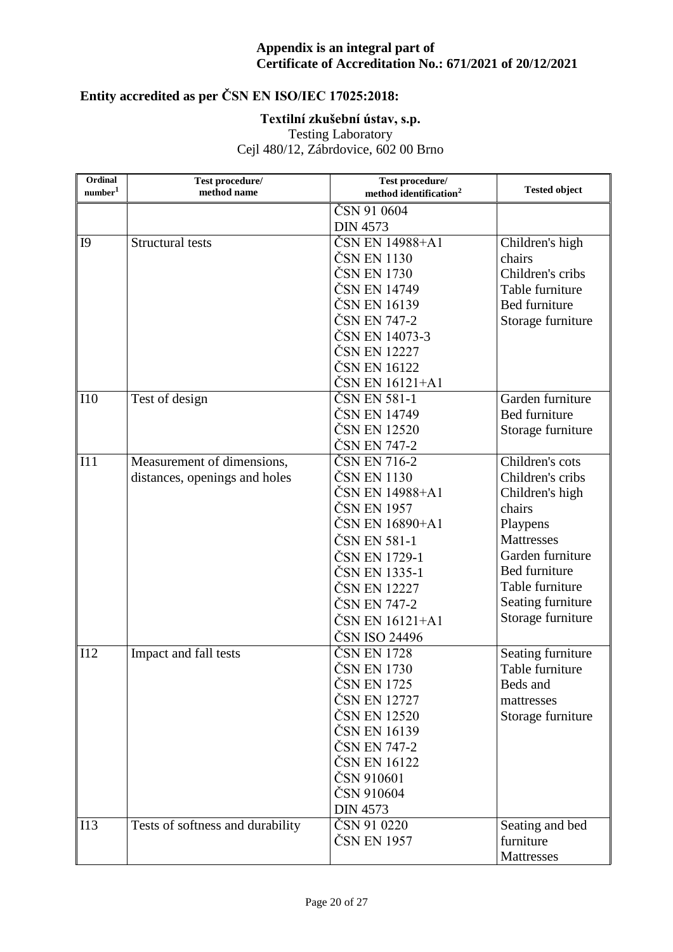# **Entity accredited as per ČSN EN ISO/IEC 17025:2018:**

### **Textilní zkušební ústav, s.p.**

Testing Laboratory

| Ordinal<br>$\mbox{number}^1$ | Test procedure/<br>method name   | Test procedure/<br>method identification <sup>2</sup> | <b>Tested object</b> |
|------------------------------|----------------------------------|-------------------------------------------------------|----------------------|
|                              |                                  | ČSN 91 0604                                           |                      |
|                              |                                  | <b>DIN 4573</b>                                       |                      |
| I <sub>9</sub>               | <b>Structural tests</b>          | ČSN EN 14988+A1                                       | Children's high      |
|                              |                                  | ČSN EN 1130                                           | chairs               |
|                              |                                  | ČSN EN 1730                                           | Children's cribs     |
|                              |                                  | ČSN EN 14749                                          | Table furniture      |
|                              |                                  | ČSN EN 16139                                          | Bed furniture        |
|                              |                                  | ČSN EN 747-2                                          | Storage furniture    |
|                              |                                  | ČSN EN 14073-3                                        |                      |
|                              |                                  | ČSN EN 12227                                          |                      |
|                              |                                  | ČSN EN 16122                                          |                      |
|                              |                                  | ČSN EN 16121+A1                                       |                      |
| <b>I10</b>                   | Test of design                   | ČSN EN 581-1                                          | Garden furniture     |
|                              |                                  | ČSN EN 14749                                          | Bed furniture        |
|                              |                                  | ČSN EN 12520                                          | Storage furniture    |
|                              |                                  | ČSN EN 747-2                                          |                      |
| I11                          | Measurement of dimensions,       | ČSN EN 716-2                                          | Children's cots      |
|                              | distances, openings and holes    | ČSN EN 1130                                           | Children's cribs     |
|                              |                                  | ČSN EN 14988+A1                                       | Children's high      |
|                              |                                  | ČSN EN 1957                                           | chairs               |
|                              |                                  | ČSN EN 16890+A1                                       | Playpens             |
|                              |                                  | ČSN EN 581-1                                          | <b>Mattresses</b>    |
|                              |                                  | ČSN EN 1729-1                                         | Garden furniture     |
|                              |                                  | ČSN EN 1335-1                                         | Bed furniture        |
|                              |                                  | ČSN EN 12227                                          | Table furniture      |
|                              |                                  | ČSN EN 747-2                                          | Seating furniture    |
|                              |                                  | ČSN EN 16121+A1                                       | Storage furniture    |
|                              |                                  | ČSN ISO 24496                                         |                      |
| I12                          | Impact and fall tests            | ČSN EN 1728                                           | Seating furniture    |
|                              |                                  | ČSN EN 1730                                           | Table furniture      |
|                              |                                  | ČSN EN 1725                                           | Beds and             |
|                              |                                  | ČSN EN 12727                                          | mattresses           |
|                              |                                  | ČSN EN 12520                                          | Storage furniture    |
|                              |                                  | ČSN EN 16139                                          |                      |
|                              |                                  | ČSN EN 747-2                                          |                      |
|                              |                                  | ČSN EN 16122                                          |                      |
|                              |                                  | ČSN 910601                                            |                      |
|                              |                                  | ČSN 910604                                            |                      |
|                              |                                  | <b>DIN 4573</b>                                       |                      |
| I13                          | Tests of softness and durability | ČSN 91 0220                                           | Seating and bed      |
|                              |                                  | ČSN EN 1957                                           | furniture            |
|                              |                                  |                                                       | Mattresses           |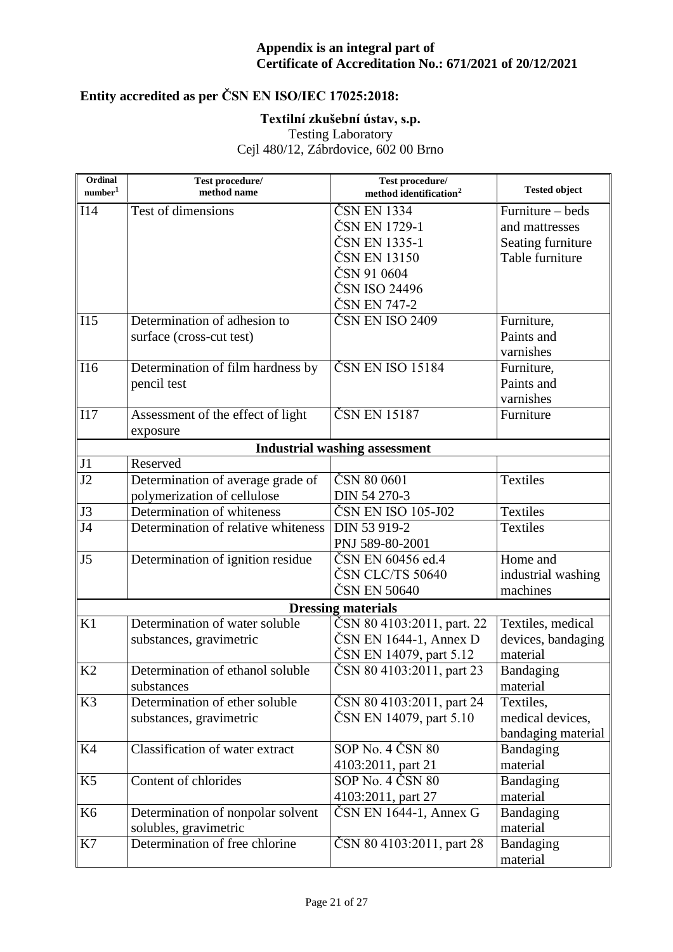# **Entity accredited as per ČSN EN ISO/IEC 17025:2018:**

### **Textilní zkušební ústav, s.p.**

Testing Laboratory

| Ordinal             | Test procedure/                     | Test procedure/                      | <b>Tested object</b> |
|---------------------|-------------------------------------|--------------------------------------|----------------------|
| number <sup>1</sup> | method name                         | method identification <sup>2</sup>   |                      |
| I14                 | Test of dimensions                  | ČSN EN 1334                          | Furniture - beds     |
|                     |                                     | ČSN EN 1729-1                        | and mattresses       |
|                     |                                     | ČSN EN 1335-1                        | Seating furniture    |
|                     |                                     | ČSN EN 13150                         | Table furniture      |
|                     |                                     | ČSN 91 0604                          |                      |
|                     |                                     | ČSN ISO 24496                        |                      |
|                     |                                     | ČSN EN 747-2                         |                      |
| I15                 | Determination of adhesion to        | ČSN EN ISO 2409                      | Furniture,           |
|                     | surface (cross-cut test)            |                                      | Paints and           |
|                     |                                     |                                      | varnishes            |
| I16                 | Determination of film hardness by   | ČSNENISO 15184                       | Furniture,           |
|                     | pencil test                         |                                      | Paints and           |
|                     |                                     |                                      | varnishes            |
| I17                 | Assessment of the effect of light   | ČSN EN 15187                         | Furniture            |
|                     | exposure                            |                                      |                      |
|                     |                                     | <b>Industrial washing assessment</b> |                      |
| J1                  | Reserved                            |                                      |                      |
| J2                  | Determination of average grade of   | ČSN 80 0601                          | <b>Textiles</b>      |
|                     | polymerization of cellulose         | DIN 54 270-3                         |                      |
| J3                  | Determination of whiteness          | ČSN EN ISO 105-J02                   | <b>Textiles</b>      |
| J <sub>4</sub>      | Determination of relative whiteness | DIN 53 919-2                         | <b>Textiles</b>      |
|                     |                                     | PNJ 589-80-2001                      |                      |
| J <sub>5</sub>      | Determination of ignition residue   | ČSN EN 60456 ed.4                    | Home and             |
|                     |                                     | ČSN CLC/TS 50640                     | industrial washing   |
|                     |                                     | ČSN EN 50640                         | machines             |
|                     |                                     | <b>Dressing materials</b>            |                      |
| K1                  | Determination of water soluble      | ČSN 80 4103:2011, part. 22           | Textiles, medical    |
|                     | substances, gravimetric             | $\text{ČSN}$ EN 1644-1, Annex D      | devices, bandaging   |
|                     |                                     | ČSN EN 14079, part 5.12              | material             |
| K2                  | Determination of ethanol soluble    | ČSN 80 4103:2011, part 23            | Bandaging            |
|                     | substances                          |                                      | material             |
| K <sub>3</sub>      | Determination of ether soluble      | ČSN 80 4103:2011, part 24            | Textiles,            |
|                     | substances, gravimetric             | ČSN EN 14079, part 5.10              | medical devices,     |
|                     |                                     |                                      | bandaging material   |
| K4                  | Classification of water extract     | $SOP$ No. 4 $\check{C}$ SN 80        | Bandaging            |
|                     |                                     | 4103:2011, part 21                   | material             |
| K <sub>5</sub>      | Content of chlorides                | SOP No. 4 ČSN 80                     | Bandaging            |
|                     |                                     | 4103:2011, part 27                   | material             |
| K <sub>6</sub>      | Determination of nonpolar solvent   | $\text{CNN}$ EN 1644-1, Annex G      | Bandaging            |
|                     | solubles, gravimetric               |                                      | material             |
| K7                  | Determination of free chlorine      | ČSN 80 4103:2011, part 28            | Bandaging            |
|                     |                                     |                                      | material             |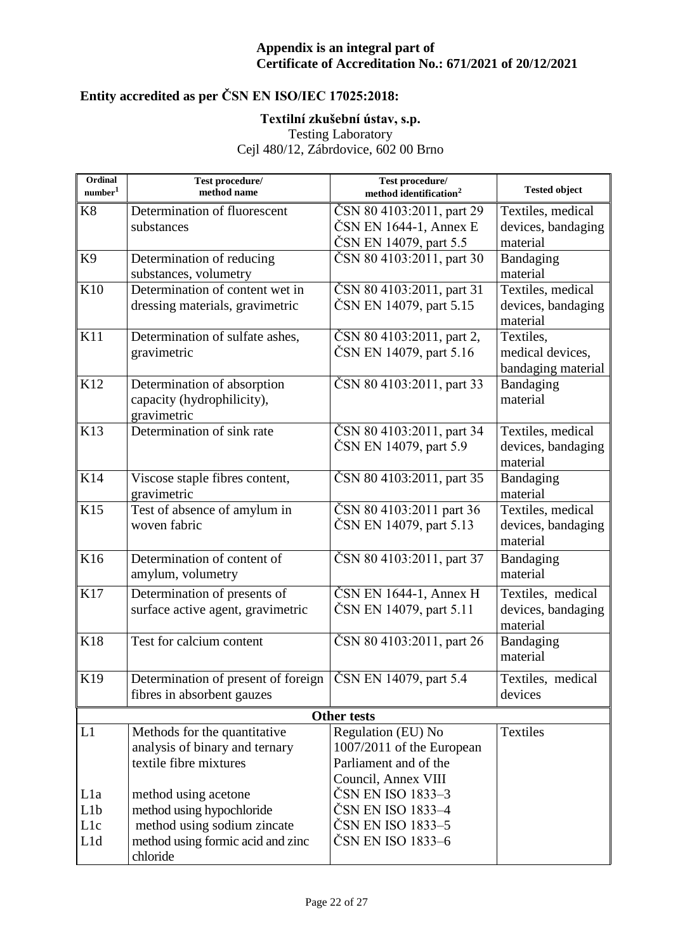# **Entity accredited as per ČSN EN ISO/IEC 17025:2018:**

### **Textilní zkušební ústav, s.p.**

Testing Laboratory

| Ordinal<br>number <sup>1</sup> | Test procedure/<br>method name      | Test procedure/<br>method identification <sup>2</sup> | <b>Tested object</b> |
|--------------------------------|-------------------------------------|-------------------------------------------------------|----------------------|
| K <sub>8</sub>                 | Determination of fluorescent        | ČSN 80 4103:2011, part 29                             | Textiles, medical    |
|                                | substances                          | $\text{ČSN}$ EN 1644-1, Annex E                       | devices, bandaging   |
|                                |                                     | ČSN EN 14079, part 5.5                                | material             |
| K <sub>9</sub>                 | Determination of reducing           | ČSN 80 4103:2011, part 30                             | Bandaging            |
|                                | substances, volumetry               |                                                       | material             |
| K10                            | Determination of content wet in     | ČSN 80 4103:2011, part 31                             | Textiles, medical    |
|                                | dressing materials, gravimetric     | ČSN EN 14079, part 5.15                               | devices, bandaging   |
|                                |                                     |                                                       | material             |
| K11                            | Determination of sulfate ashes,     | ČSN 80 4103:2011, part 2,                             | Textiles,            |
|                                | gravimetric                         | ČSN EN 14079, part 5.16                               | medical devices,     |
|                                |                                     |                                                       | bandaging material   |
| K12                            | Determination of absorption         | ČSN 80 4103:2011, part 33                             | Bandaging            |
|                                | capacity (hydrophilicity),          |                                                       | material             |
|                                | gravimetric                         |                                                       |                      |
| K13                            | Determination of sink rate          | ČSN 80 4103:2011, part 34                             | Textiles, medical    |
|                                |                                     | ČSN EN 14079, part 5.9                                | devices, bandaging   |
|                                |                                     |                                                       | material             |
| K14                            | Viscose staple fibres content,      | ČSN 80 4103:2011, part 35                             | Bandaging            |
|                                | gravimetric                         |                                                       | material             |
| K15                            | Test of absence of amylum in        | ČSN 80 4103:2011 part 36                              | Textiles, medical    |
|                                | woven fabric                        | ČSN EN 14079, part 5.13                               | devices, bandaging   |
|                                |                                     |                                                       | material             |
| K16                            | Determination of content of         | ČSN 80 4103:2011, part 37                             | Bandaging            |
|                                | amylum, volumetry                   |                                                       | material             |
| K17                            | Determination of presents of        | $\text{ČSN}$ EN 1644-1, Annex H                       | Textiles, medical    |
|                                | surface active agent, gravimetric   | ČSN EN 14079, part 5.11                               | devices, bandaging   |
|                                |                                     |                                                       | material             |
| K18                            | Test for calcium content            | ČSN 80 4103:2011, part 26                             | Bandaging            |
|                                |                                     |                                                       | material             |
| K19                            | Determination of present of foreign | ČSN EN 14079, part 5.4                                | Textiles, medical    |
|                                | fibres in absorbent gauzes          |                                                       | devices              |
|                                |                                     |                                                       |                      |
|                                |                                     | <b>Other tests</b>                                    |                      |
| L1                             | Methods for the quantitative        | Regulation (EU) No                                    | <b>Textiles</b>      |
|                                | analysis of binary and ternary      | 1007/2011 of the European                             |                      |
|                                | textile fibre mixtures              | Parliament and of the                                 |                      |
|                                |                                     | Council, Annex VIII                                   |                      |
| L <sub>1</sub> a               | method using acetone                | ČSN EN ISO 1833–3                                     |                      |
| L <sub>1</sub> b               | method using hypochloride           | ČSN EN ISO 1833–4                                     |                      |
| L1c                            | method using sodium zincate         | ČSN EN ISO 1833–5                                     |                      |
| L1d                            | method using formic acid and zinc   | ČSN EN ISO 1833–6                                     |                      |
|                                | chloride                            |                                                       |                      |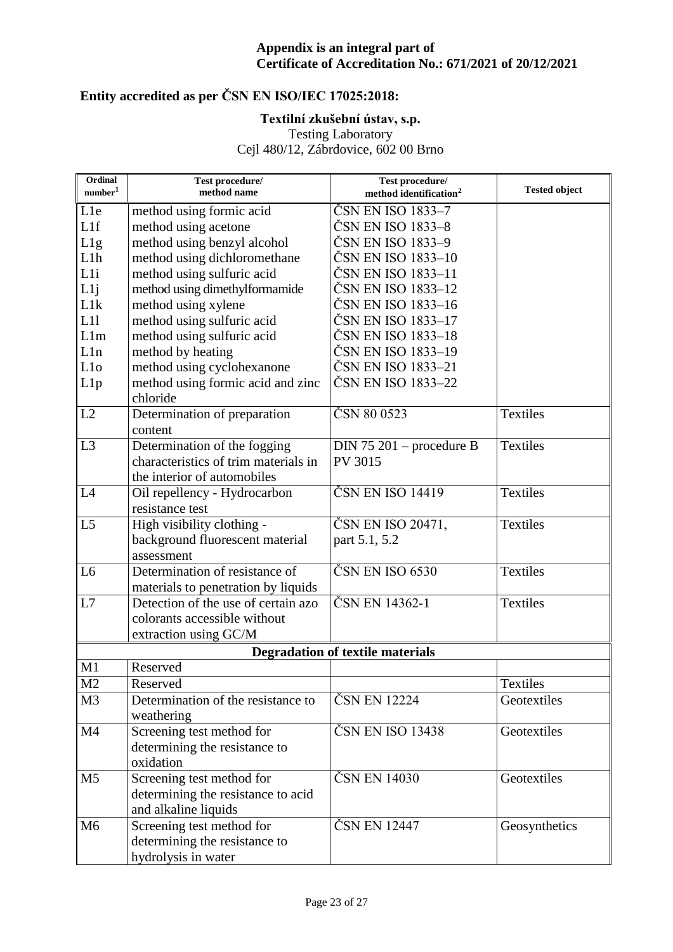# **Entity accredited as per ČSN EN ISO/IEC 17025:2018:**

#### **Textilní zkušební ústav, s.p.**

Testing Laboratory

| Ordinal<br>number <sup>1</sup> | Test procedure/<br>method name       | Test procedure/<br>method identification <sup>2</sup> | <b>Tested object</b> |
|--------------------------------|--------------------------------------|-------------------------------------------------------|----------------------|
| L1e                            | method using formic acid             | ČSN EN ISO 1833–7                                     |                      |
| L1f                            | method using acetone                 | ČSN EN ISO 1833–8                                     |                      |
| L1g                            | method using benzyl alcohol          | ČSN EN ISO 1833–9                                     |                      |
| L1h                            | method using dichloromethane         | ČSN EN ISO 1833-10                                    |                      |
| Lli                            | method using sulfuric acid           | ČSN EN ISO 1833–11                                    |                      |
| L1j                            | method using dimethylformamide       | ČSN EN ISO 1833–12                                    |                      |
| L1k                            | method using xylene                  | ČSN EN ISO 1833–16                                    |                      |
| L11                            | method using sulfuric acid           | ČSN EN ISO 1833–17                                    |                      |
| L1m                            | method using sulfuric acid           | ČSN EN ISO 1833–18                                    |                      |
| L1n                            | method by heating                    | ČSN EN ISO 1833–19                                    |                      |
| L <sub>10</sub>                | method using cyclohexanone           | ČSN EN ISO 1833–21                                    |                      |
| L1p                            | method using formic acid and zinc    | ČSN EN ISO 1833-22                                    |                      |
|                                | chloride                             |                                                       |                      |
| L2                             | Determination of preparation         | ČSN 80 0523                                           | <b>Textiles</b>      |
|                                | content                              |                                                       |                      |
| L <sub>3</sub>                 | Determination of the fogging         | $DIN 75 201$ – procedure B                            | <b>Textiles</b>      |
|                                | characteristics of trim materials in | PV 3015                                               |                      |
|                                | the interior of automobiles          |                                                       |                      |
| L4                             | Oil repellency - Hydrocarbon         | ČSN EN ISO 14419                                      | <b>Textiles</b>      |
|                                | resistance test                      |                                                       |                      |
| L <sub>5</sub>                 | High visibility clothing -           | ČSN EN ISO 20471,                                     | <b>Textiles</b>      |
|                                | background fluorescent material      | part 5.1, 5.2                                         |                      |
|                                | assessment                           |                                                       |                      |
| L <sub>6</sub>                 | Determination of resistance of       | ČSN EN ISO 6530                                       | <b>Textiles</b>      |
|                                | materials to penetration by liquids  |                                                       |                      |
| L7                             | Detection of the use of certain azo  | ČSN EN 14362-1                                        | <b>Textiles</b>      |
|                                | colorants accessible without         |                                                       |                      |
|                                | extraction using GC/M                |                                                       |                      |
|                                |                                      | <b>Degradation of textile materials</b>               |                      |
| M1                             | Reserved                             |                                                       |                      |
| M <sub>2</sub>                 | Reserved                             |                                                       | Textiles             |
| M <sub>3</sub>                 | Determination of the resistance to   | ČSN EN 12224                                          | Geotextiles          |
|                                | weathering                           |                                                       |                      |
| M <sub>4</sub>                 | Screening test method for            | ČSN EN ISO 13438                                      | Geotextiles          |
|                                | determining the resistance to        |                                                       |                      |
|                                | oxidation                            |                                                       |                      |
| M <sub>5</sub>                 | Screening test method for            | ČSN EN 14030                                          | Geotextiles          |
|                                | determining the resistance to acid   |                                                       |                      |
|                                | and alkaline liquids                 |                                                       |                      |
| M <sub>6</sub>                 | Screening test method for            | ČSN EN 12447                                          | Geosynthetics        |
|                                | determining the resistance to        |                                                       |                      |
|                                | hydrolysis in water                  |                                                       |                      |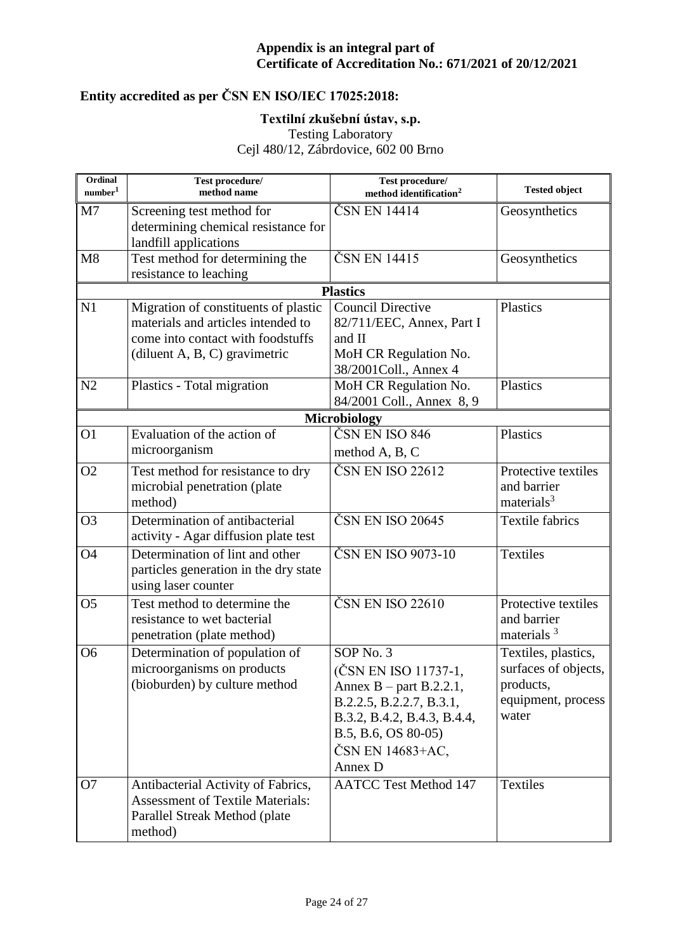# **Entity accredited as per ČSN EN ISO/IEC 17025:2018:**

### **Textilní zkušební ústav, s.p.**

Testing Laboratory

| Ordinal<br>number <sup>1</sup> | Test procedure/<br>method name                                                                                                                      | Test procedure/<br>method identification <sup>2</sup>                                                                                                                                     | <b>Tested object</b>                                                                    |
|--------------------------------|-----------------------------------------------------------------------------------------------------------------------------------------------------|-------------------------------------------------------------------------------------------------------------------------------------------------------------------------------------------|-----------------------------------------------------------------------------------------|
| M <sub>7</sub>                 | Screening test method for<br>determining chemical resistance for<br>landfill applications                                                           | ČSN EN 14414                                                                                                                                                                              | Geosynthetics                                                                           |
| M8                             | Test method for determining the<br>resistance to leaching                                                                                           | ČSN EN 14415                                                                                                                                                                              | Geosynthetics                                                                           |
|                                |                                                                                                                                                     | <b>Plastics</b>                                                                                                                                                                           |                                                                                         |
| N1                             | Migration of constituents of plastic<br>materials and articles intended to<br>come into contact with foodstuffs<br>(diluent $A, B, C$ ) gravimetric | <b>Council Directive</b><br>82/711/EEC, Annex, Part I<br>and II<br>MoH CR Regulation No.<br>38/2001Coll., Annex 4                                                                         | Plastics                                                                                |
| N2                             | Plastics - Total migration                                                                                                                          | MoH CR Regulation No.<br>84/2001 Coll., Annex 8, 9                                                                                                                                        | Plastics                                                                                |
|                                |                                                                                                                                                     | <b>Microbiology</b>                                                                                                                                                                       |                                                                                         |
| O <sub>1</sub>                 | Evaluation of the action of<br>microorganism                                                                                                        | ČSN EN ISO 846<br>method A, B, C                                                                                                                                                          | Plastics                                                                                |
| O <sub>2</sub>                 | Test method for resistance to dry<br>microbial penetration (plate<br>method)                                                                        | ČSN EN ISO 22612                                                                                                                                                                          | Protective textiles<br>and barrier<br>materials $3$                                     |
| O <sub>3</sub>                 | Determination of antibacterial<br>activity - Agar diffusion plate test                                                                              | ČSN EN ISO 20645                                                                                                                                                                          | <b>Textile fabrics</b>                                                                  |
| <b>O4</b>                      | Determination of lint and other<br>particles generation in the dry state<br>using laser counter                                                     | ČSN EN ISO 9073-10                                                                                                                                                                        | Textiles                                                                                |
| O <sub>5</sub>                 | Test method to determine the<br>resistance to wet bacterial<br>penetration (plate method)                                                           | $\overline{\text{CS}}$ N EN ISO 22610                                                                                                                                                     | Protective textiles<br>and barrier<br>materials $3$                                     |
| O <sub>6</sub>                 | Determination of population of<br>microorganisms on products<br>(bioburden) by culture method                                                       | SOP <sub>No.3</sub><br>(ČSN EN ISO 11737-1,<br>Annex $B$ – part B.2.2.1,<br>B.2.2.5, B.2.2.7, B.3.1,<br>B.3.2, B.4.2, B.4.3, B.4.4,<br>B.5, B.6, OS 80-05)<br>ČSN EN 14683+AC,<br>Annex D | Textiles, plastics,<br>surfaces of objects,<br>products,<br>equipment, process<br>water |
| O7                             | Antibacterial Activity of Fabrics,<br><b>Assessment of Textile Materials:</b><br>Parallel Streak Method (plate<br>method)                           | <b>AATCC Test Method 147</b>                                                                                                                                                              | Textiles                                                                                |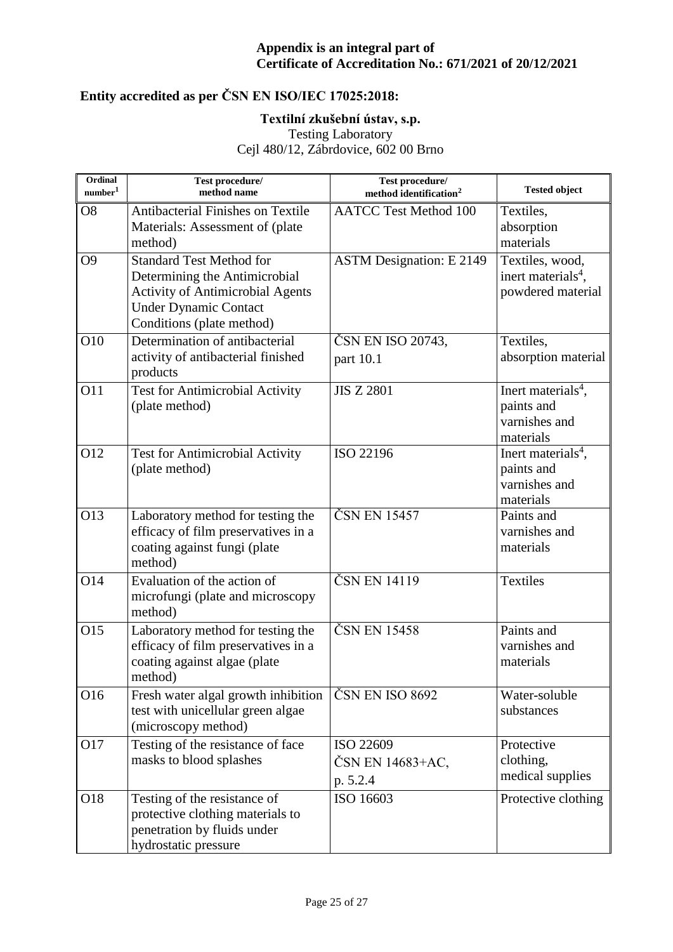# **Entity accredited as per ČSN EN ISO/IEC 17025:2018:**

### **Textilní zkušební ústav, s.p.**

Testing Laboratory

| Ordinal<br>number <sup>1</sup> | Test procedure/<br>method name                                                                                                                                           | Test procedure/<br>method identification <sup>2</sup> | <b>Tested object</b>                                                       |
|--------------------------------|--------------------------------------------------------------------------------------------------------------------------------------------------------------------------|-------------------------------------------------------|----------------------------------------------------------------------------|
| O <sub>8</sub>                 | Antibacterial Finishes on Textile<br>Materials: Assessment of (plate<br>method)                                                                                          | <b>AATCC Test Method 100</b>                          | Textiles,<br>absorption<br>materials                                       |
| O <sub>9</sub>                 | <b>Standard Test Method for</b><br>Determining the Antimicrobial<br><b>Activity of Antimicrobial Agents</b><br><b>Under Dynamic Contact</b><br>Conditions (plate method) | <b>ASTM Designation: E 2149</b>                       | Textiles, wood,<br>inert materials <sup>4</sup> ,<br>powdered material     |
| O10                            | Determination of antibacterial<br>activity of antibacterial finished<br>products                                                                                         | ČSN EN ISO 20743,<br>part 10.1                        | Textiles,<br>absorption material                                           |
| O11                            | Test for Antimicrobial Activity<br>(plate method)                                                                                                                        | <b>JIS Z 2801</b>                                     | Inert materials <sup>4</sup> ,<br>paints and<br>varnishes and<br>materials |
| O12                            | <b>Test for Antimicrobial Activity</b><br>(plate method)                                                                                                                 | ISO 22196                                             | Inert materials <sup>4</sup> ,<br>paints and<br>varnishes and<br>materials |
| O13                            | Laboratory method for testing the<br>efficacy of film preservatives in a<br>coating against fungi (plate<br>method)                                                      | ČSN EN 15457                                          | Paints and<br>varnishes and<br>materials                                   |
| $O1\overline{4}$               | Evaluation of the action of<br>microfungi (plate and microscopy<br>method)                                                                                               | ČSN EN 14119                                          | <b>Textiles</b>                                                            |
| O15                            | Laboratory method for testing the<br>efficacy of film preservatives in a<br>coating against algae (plate<br>method)                                                      | ČSN EN 15458                                          | Paints and<br>varnishes and<br>materials                                   |
| O16                            | Fresh water algal growth inhibition<br>test with unicellular green algae<br>(microscopy method)                                                                          | ČSN EN ISO 8692                                       | Water-soluble<br>substances                                                |
| O17                            | Testing of the resistance of face<br>masks to blood splashes                                                                                                             | ISO 22609<br>ČSN EN 14683+AC,<br>p. 5.2.4             | Protective<br>clothing,<br>medical supplies                                |
| O18                            | Testing of the resistance of<br>protective clothing materials to<br>penetration by fluids under<br>hydrostatic pressure                                                  | ISO 16603                                             | Protective clothing                                                        |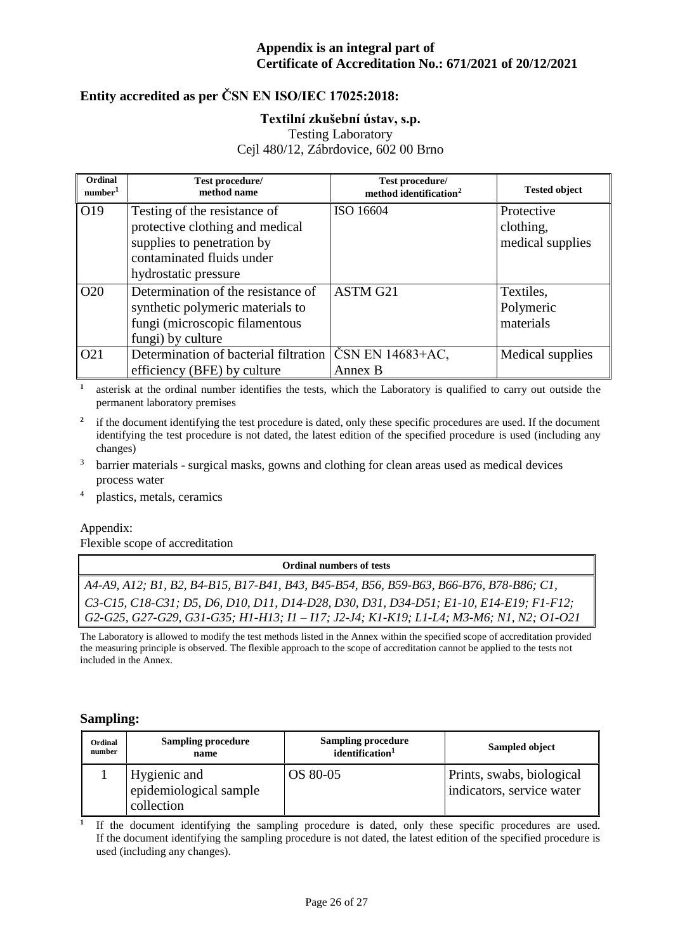#### **Entity accredited as per ČSN EN ISO/IEC 17025:2018:**

#### **Textilní zkušební ústav, s.p.**

Testing Laboratory

Cejl 480/12, Zábrdovice, 602 00 Brno

| Ordinal<br>number <sup>1</sup> | Test procedure/<br>method name                                                                                                                     | Test procedure/<br>method identification <sup>2</sup> | <b>Tested object</b>                        |
|--------------------------------|----------------------------------------------------------------------------------------------------------------------------------------------------|-------------------------------------------------------|---------------------------------------------|
| O19                            | Testing of the resistance of<br>protective clothing and medical<br>supplies to penetration by<br>contaminated fluids under<br>hydrostatic pressure | ISO 16604                                             | Protective<br>clothing,<br>medical supplies |
| O <sub>20</sub>                | Determination of the resistance of<br>synthetic polymeric materials to<br>fungi (microscopic filamentous<br>fungi) by culture                      | ASTM G21                                              | Textiles,<br>Polymeric<br>materials         |
| O <sub>21</sub>                | Determination of bacterial filtration<br>efficiency (BFE) by culture                                                                               | ČSN EN 14683+AC,<br>Annex B                           | Medical supplies                            |

**1** asterisk at the ordinal number identifies the tests, which the Laboratory is qualified to carry out outside the permanent laboratory premises

**2** if the document identifying the test procedure is dated, only these specific procedures are used. If the document identifying the test procedure is not dated, the latest edition of the specified procedure is used (including any changes)

- <sup>3</sup> barrier materials surgical masks, gowns and clothing for clean areas used as medical devices process water
- <sup>4</sup> plastics, metals, ceramics

#### Appendix: Flexible scope of accreditation

**Ordinal numbers of tests** *A4-A9, A12; B1, B2, B4-B15, B17-B41, B43, B45-B54, B56, B59-B63, B66-B76, B78-B86; C1, C3-C15, C18-C31; D5, D6, D10, D11, D14-D28, D30, D31, D34-D51; E1-10, E14-E19; F1-F12; G2-G25, G27-G29, G31-G35; H1-H13; I1 – I17; J2-J4; K1-K19; L1-L4; M3-M6; N1, N2; O1-O21*

The Laboratory is allowed to modify the test methods listed in the Annex within the specified scope of accreditation provided the measuring principle is observed. The flexible approach to the scope of accreditation cannot be applied to the tests not included in the Annex.

#### **Sampling:**

**1**

| Ordinal | <b>Sampling procedure</b>                            | <b>Sampling procedure</b>   | <b>Sampled object</b>                                  |
|---------|------------------------------------------------------|-----------------------------|--------------------------------------------------------|
| number  | name                                                 | identification <sup>1</sup> |                                                        |
|         | Hygienic and<br>epidemiological sample<br>collection | OS 80-05                    | Prints, swabs, biological<br>indicators, service water |

If the document identifying the sampling procedure is dated, only these specific procedures are used. If the document identifying the sampling procedure is not dated, the latest edition of the specified procedure is used (including any changes).